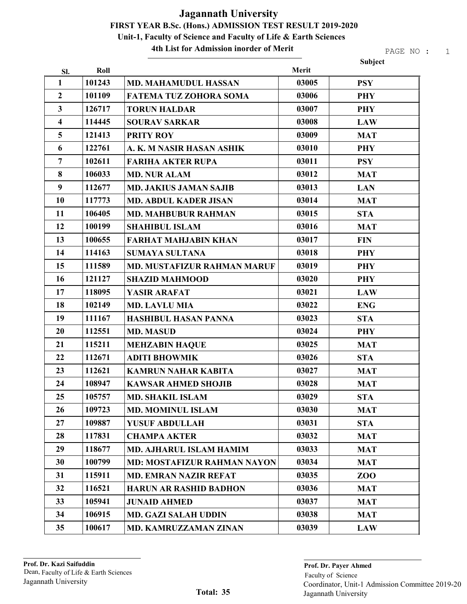4th List for Admission inorder of Merit

|                         |        |                                    |       | Subject    |
|-------------------------|--------|------------------------------------|-------|------------|
| SI.                     | Roll   |                                    | Merit |            |
| 1                       | 101243 | <b>MD. MAHAMUDUL HASSAN</b>        | 03005 | <b>PSY</b> |
| $\overline{2}$          | 101109 | <b>FATEMA TUZ ZOHORA SOMA</b>      | 03006 | <b>PHY</b> |
| $\overline{\mathbf{3}}$ | 126717 | <b>TORUN HALDAR</b>                | 03007 | <b>PHY</b> |
| $\overline{\mathbf{4}}$ | 114445 | <b>SOURAV SARKAR</b>               | 03008 | <b>LAW</b> |
| 5                       | 121413 | <b>PRITY ROY</b>                   | 03009 | <b>MAT</b> |
| 6                       | 122761 | A. K. M NASIR HASAN ASHIK          | 03010 | <b>PHY</b> |
| $\overline{7}$          | 102611 | <b>FARIHA AKTER RUPA</b>           | 03011 | <b>PSY</b> |
| 8                       | 106033 | <b>MD. NUR ALAM</b>                | 03012 | <b>MAT</b> |
| 9                       | 112677 | <b>MD. JAKIUS JAMAN SAJIB</b>      | 03013 | <b>LAN</b> |
| 10                      | 117773 | <b>MD. ABDUL KADER JISAN</b>       | 03014 | <b>MAT</b> |
| 11                      | 106405 | <b>MD. MAHBUBUR RAHMAN</b>         | 03015 | <b>STA</b> |
| 12                      | 100199 | <b>SHAHIBUL ISLAM</b>              | 03016 | <b>MAT</b> |
| 13                      | 100655 | <b>FARHAT MAHJABIN KHAN</b>        | 03017 | <b>FIN</b> |
| 14                      | 114163 | <b>SUMAYA SULTANA</b>              | 03018 | <b>PHY</b> |
| 15                      | 111589 | <b>MD. MUSTAFIZUR RAHMAN MARUF</b> | 03019 | <b>PHY</b> |
| 16                      | 121127 | <b>SHAZID MAHMOOD</b>              | 03020 | <b>PHY</b> |
| 17                      | 118095 | YASIR ARAFAT                       | 03021 | <b>LAW</b> |
| 18                      | 102149 | <b>MD. LAVLU MIA</b>               | 03022 | <b>ENG</b> |
| 19                      | 111167 | <b>HASHIBUL HASAN PANNA</b>        | 03023 | <b>STA</b> |
| 20                      | 112551 | <b>MD. MASUD</b>                   | 03024 | <b>PHY</b> |
| 21                      | 115211 | <b>MEHZABIN HAQUE</b>              | 03025 | <b>MAT</b> |
| 22                      | 112671 | <b>ADITI BHOWMIK</b>               | 03026 | <b>STA</b> |
| 23                      | 112621 | <b>KAMRUN NAHAR KABITA</b>         | 03027 | <b>MAT</b> |
| 24                      | 108947 | <b>KAWSAR AHMED SHOJIB</b>         | 03028 | <b>MAT</b> |
| 25                      | 105757 | <b>MD. SHAKIL ISLAM</b>            | 03029 | <b>STA</b> |
| 26                      | 109723 | <b>MD. MOMINUL ISLAM</b>           | 03030 | <b>MAT</b> |
| 27                      | 109887 | <b>YUSUF ABDULLAH</b>              | 03031 | <b>STA</b> |
| 28                      | 117831 | <b>CHAMPA AKTER</b>                | 03032 | <b>MAT</b> |
| 29                      | 118677 | MD. AJHARUL ISLAM HAMIM            | 03033 | <b>MAT</b> |
| 30                      | 100799 | <b>MD: MOSTAFIZUR RAHMAN NAYON</b> | 03034 | <b>MAT</b> |
| 31                      | 115911 | <b>MD. EMRAN NAZIR REFAT</b>       | 03035 | ZOO        |
| 32                      | 116521 | <b>HARUN AR RASHID BADHON</b>      | 03036 | <b>MAT</b> |
| 33                      | 105941 | <b>JUNAID AHMED</b>                | 03037 | <b>MAT</b> |
| 34                      | 106915 | <b>MD. GAZI SALAH UDDIN</b>        | 03038 | <b>MAT</b> |
| 35                      | 100617 | MD. KAMRUZZAMAN ZINAN              | 03039 | <b>LAW</b> |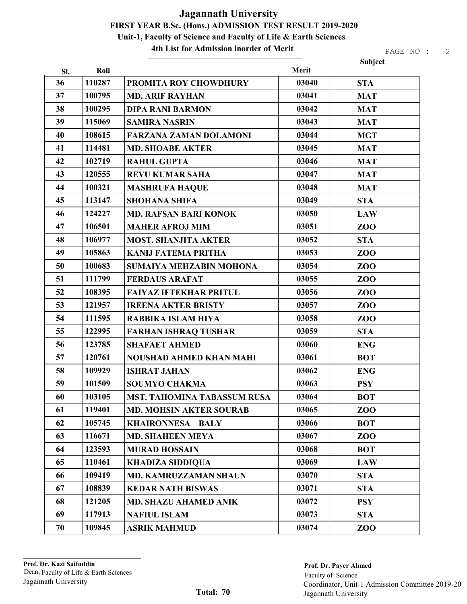4th List for Admission inorder of Merit

|     |        |                                    |       | Subject        |
|-----|--------|------------------------------------|-------|----------------|
| SI. | Roll   |                                    | Merit |                |
| 36  | 110287 | PROMITA ROY CHOWDHURY              | 03040 | <b>STA</b>     |
| 37  | 100795 | <b>MD. ARIF RAYHAN</b>             | 03041 | <b>MAT</b>     |
| 38  | 100295 | <b>DIPA RANI BARMON</b>            | 03042 | <b>MAT</b>     |
| 39  | 115069 | <b>SAMIRA NASRIN</b>               | 03043 | <b>MAT</b>     |
| 40  | 108615 | <b>FARZANA ZAMAN DOLAMONI</b>      | 03044 | <b>MGT</b>     |
| 41  | 114481 | <b>MD. SHOABE AKTER</b>            | 03045 | <b>MAT</b>     |
| 42  | 102719 | <b>RAHUL GUPTA</b>                 | 03046 | <b>MAT</b>     |
| 43  | 120555 | <b>REVU KUMAR SAHA</b>             | 03047 | <b>MAT</b>     |
| 44  | 100321 | <b>MASHRUFA HAQUE</b>              | 03048 | <b>MAT</b>     |
| 45  | 113147 | <b>SHOHANA SHIFA</b>               | 03049 | <b>STA</b>     |
| 46  | 124227 | <b>MD. RAFSAN BARI KONOK</b>       | 03050 | <b>LAW</b>     |
| 47  | 106501 | <b>MAHER AFROJ MIM</b>             | 03051 | ZOO            |
| 48  | 106977 | <b>MOST. SHANJITA AKTER</b>        | 03052 | <b>STA</b>     |
| 49  | 105863 | <b>KANIJ FATEMA PRITHA</b>         | 03053 | <b>ZOO</b>     |
| 50  | 100683 | SUMAIYA MEHZABIN MOHONA            | 03054 | <b>ZOO</b>     |
| 51  | 111799 | <b>FERDAUS ARAFAT</b>              | 03055 | <b>ZOO</b>     |
| 52  | 108395 | <b>FAIYAZ IFTEKHAR PRITUL</b>      | 03056 | ZOO            |
| 53  | 121957 | <b>IREENA AKTER BRISTY</b>         | 03057 | <b>ZOO</b>     |
| 54  | 111595 | RABBIKA ISLAM HIYA                 | 03058 | ZOO            |
| 55  | 122995 | <b>FARHAN ISHRAQ TUSHAR</b>        | 03059 | <b>STA</b>     |
| 56  | 123785 | <b>SHAFAET AHMED</b>               | 03060 | <b>ENG</b>     |
| 57  | 120761 | <b>NOUSHAD AHMED KHAN MAHI</b>     | 03061 | <b>BOT</b>     |
| 58  | 109929 | <b>ISHRAT JAHAN</b>                | 03062 | <b>ENG</b>     |
| 59  | 101509 | <b>SOUMYO CHAKMA</b>               | 03063 | <b>PSY</b>     |
| 60  | 103105 | <b>MST. TAHOMINA TABASSUM RUSA</b> | 03064 | <b>BOT</b>     |
| 61  | 119401 | <b>MD. MOHSIN AKTER SOURAB</b>     | 03065 | ZOO            |
| 62  | 105745 | <b>KHAIRONNESA BALY</b>            | 03066 | <b>BOT</b>     |
| 63  | 116671 | <b>MD. SHAHEEN MEYA</b>            | 03067 | ZOO            |
| 64  | 123593 | <b>MURAD HOSSAIN</b>               | 03068 | <b>BOT</b>     |
| 65  | 110461 | <b>KHADIZA SIDDIQUA</b>            | 03069 | <b>LAW</b>     |
| 66  | 109419 | <b>MD. KAMRUZZAMAN SHAUN</b>       | 03070 | <b>STA</b>     |
| 67  | 108839 | <b>KEDAR NATH BISWAS</b>           | 03071 | <b>STA</b>     |
| 68  | 121205 | <b>MD. SHAZU AHAMED ANIK</b>       | 03072 | <b>PSY</b>     |
| 69  | 117913 | <b>NAFIUL ISLAM</b>                | 03073 | <b>STA</b>     |
| 70  | 109845 | <b>ASRIK MAHMUD</b>                | 03074 | Z <sub>0</sub> |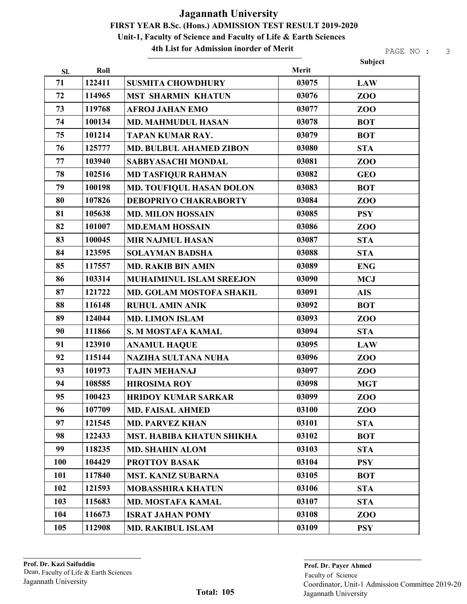#### 4th List for Admission inorder of Merit

|            |        |                                 |       | Subject        |
|------------|--------|---------------------------------|-------|----------------|
| Sl.        | Roll   |                                 | Merit |                |
| 71         | 122411 | <b>SUSMITA CHOWDHURY</b>        | 03075 | <b>LAW</b>     |
| 72         | 114965 | <b>MST SHARMIN KHATUN</b>       | 03076 | ZOO            |
| 73         | 119768 | <b>AFROJ JAHAN EMO</b>          | 03077 | ZOO            |
| 74         | 100134 | <b>MD. MAHMUDUL HASAN</b>       | 03078 | <b>BOT</b>     |
| 75         | 101214 | <b>TAPAN KUMAR RAY.</b>         | 03079 | <b>BOT</b>     |
| 76         | 125777 | <b>MD. BULBUL AHAMED ZIBON</b>  | 03080 | <b>STA</b>     |
| 77         | 103940 | <b>SABBYASACHI MONDAL</b>       | 03081 | ZOO            |
| 78         | 102516 | <b>MD TASFIQUR RAHMAN</b>       | 03082 | <b>GEO</b>     |
| 79         | 100198 | MD. TOUFIQUL HASAN DOLON        | 03083 | <b>BOT</b>     |
| 80         | 107826 | <b>DEBOPRIYO CHAKRABORTY</b>    | 03084 | ZOO            |
| 81         | 105638 | <b>MD. MILON HOSSAIN</b>        | 03085 | <b>PSY</b>     |
| 82         | 101007 | <b>MD.EMAM HOSSAIN</b>          | 03086 | ZOO            |
| 83         | 100045 | <b>MIR NAJMUL HASAN</b>         | 03087 | <b>STA</b>     |
| 84         | 123595 | <b>SOLAYMAN BADSHA</b>          | 03088 | <b>STA</b>     |
| 85         | 117557 | <b>MD. RAKIB BIN AMIN</b>       | 03089 | <b>ENG</b>     |
| 86         | 103314 | <b>MUHAIMINUL ISLAM SREEJON</b> | 03090 | <b>MCJ</b>     |
| 87         | 121722 | MD. GOLAM MOSTOFA SHAKIL        | 03091 | <b>AIS</b>     |
| 88         | 116148 | <b>RUHUL AMIN ANIK</b>          | 03092 | <b>BOT</b>     |
| 89         | 124044 | <b>MD. LIMON ISLAM</b>          | 03093 | ZOO            |
| 90         | 111866 | S. M MOSTAFA KAMAL              | 03094 | <b>STA</b>     |
| 91         | 123910 | <b>ANAMUL HAQUE</b>             | 03095 | <b>LAW</b>     |
| 92         | 115144 | <b>NAZIHA SULTANA NUHA</b>      | 03096 | <b>ZOO</b>     |
| 93         | 101973 | <b>TAJIN MEHANAJ</b>            | 03097 | ZOO            |
| 94         | 108585 | <b>HIROSIMA ROY</b>             | 03098 | <b>MGT</b>     |
| 95         | 100423 | <b>HRIDOY KUMAR SARKAR</b>      | 03099 | ZOO            |
| 96         | 107709 | <b>MD. FAISAL AHMED</b>         | 03100 | Z <sub>0</sub> |
| 97         | 121545 | <b>MD. PARVEZ KHAN</b>          | 03101 | <b>STA</b>     |
| 98         | 122433 | MST. HABIBA KHATUN SHIKHA       | 03102 | <b>BOT</b>     |
| 99         | 118235 | <b>MD. SHAHIN ALOM</b>          | 03103 | <b>STA</b>     |
| <b>100</b> | 104429 | <b>PROTTOY BASAK</b>            | 03104 | <b>PSY</b>     |
| 101        | 117840 | <b>MST. KANIZ SUBARNA</b>       | 03105 | <b>BOT</b>     |
| 102        | 121593 | <b>MOBASSHIRA KHATUN</b>        | 03106 | <b>STA</b>     |
| 103        | 115683 | <b>MD. MOSTAFA KAMAL</b>        | 03107 | <b>STA</b>     |
| 104        | 116673 | <b>ISRAT JAHAN POMY</b>         | 03108 | ZOO            |
| 105        | 112908 | <b>MD. RAKIBUL ISLAM</b>        | 03109 | <b>PSY</b>     |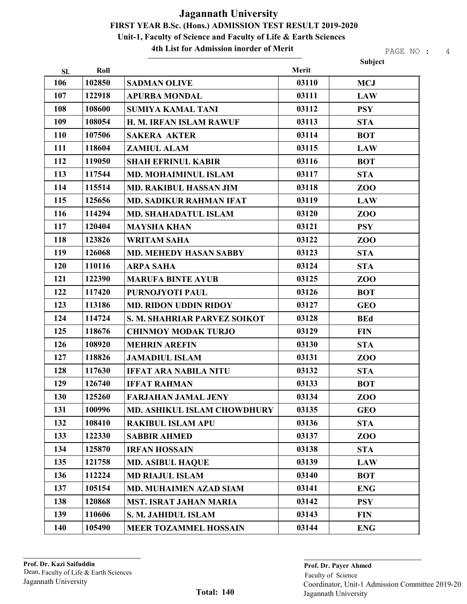4th List for Admission inorder of Merit

PAGE NO : 4

Subject

| Sl. | Roll   |                                | Merit |            |
|-----|--------|--------------------------------|-------|------------|
| 106 | 102850 | <b>SADMAN OLIVE</b>            | 03110 | <b>MCJ</b> |
| 107 | 122918 | <b>APURBA MONDAL</b>           | 03111 | <b>LAW</b> |
| 108 | 108600 | <b>SUMIYA KAMAL TANI</b>       | 03112 | <b>PSY</b> |
| 109 | 108054 | H. M. IRFAN ISLAM RAWUF        | 03113 | <b>STA</b> |
| 110 | 107506 | <b>SAKERA AKTER</b>            | 03114 | <b>BOT</b> |
| 111 | 118604 | <b>ZAMIUL ALAM</b>             | 03115 | <b>LAW</b> |
| 112 | 119050 | <b>SHAH EFRINUL KABIR</b>      | 03116 | <b>BOT</b> |
| 113 | 117544 | <b>MD. MOHAIMINUL ISLAM</b>    | 03117 | <b>STA</b> |
| 114 | 115514 | <b>MD. RAKIBUL HASSAN JIM</b>  | 03118 | ZOO        |
| 115 | 125656 | <b>MD. SADIKUR RAHMAN IFAT</b> | 03119 | <b>LAW</b> |
| 116 | 114294 | <b>MD. SHAHADATUL ISLAM</b>    | 03120 | ZOO        |
| 117 | 120404 | <b>MAYSHA KHAN</b>             | 03121 | <b>PSY</b> |
| 118 | 123826 | <b>WRITAM SAHA</b>             | 03122 | ZOO        |
| 119 | 126068 | <b>MD. MEHEDY HASAN SABBY</b>  | 03123 | <b>STA</b> |
| 120 | 110116 | <b>ARPA SAHA</b>               | 03124 | <b>STA</b> |
| 121 | 122390 | <b>MARUFA BINTE AYUB</b>       | 03125 | ZOO        |
| 122 | 117420 | PURNOJYOTI PAUL                | 03126 | <b>BOT</b> |
| 123 | 113186 | <b>MD. RIDON UDDIN RIDOY</b>   | 03127 | <b>GEO</b> |
| 124 | 114724 | S. M. SHAHRIAR PARVEZ SOIKOT   | 03128 | <b>BEd</b> |
| 125 | 118676 | <b>CHINMOY MODAK TURJO</b>     | 03129 | <b>FIN</b> |
| 126 | 108920 | <b>MEHRIN AREFIN</b>           | 03130 | <b>STA</b> |
| 127 | 118826 | <b>JAMADIUL ISLAM</b>          | 03131 | ZOO        |
| 128 | 117630 | <b>IFFAT ARA NABILA NITU</b>   | 03132 | <b>STA</b> |
| 129 | 126740 | <b>IFFAT RAHMAN</b>            | 03133 | <b>BOT</b> |
| 130 | 125260 | <b>FARJAHAN JAMAL JENY</b>     | 03134 | ZOO        |
| 131 | 100996 | MD. ASHIKUL ISLAM CHOWDHURY    | 03135 | <b>GEO</b> |
| 132 | 108410 | <b>RAKIBUL ISLAM APU</b>       | 03136 | <b>STA</b> |
| 133 | 122330 | <b>SABBIR AHMED</b>            | 03137 | ZOO        |
| 134 | 125870 | <b>IRFAN HOSSAIN</b>           | 03138 | <b>STA</b> |
| 135 | 121758 | <b>MD. ASIBUL HAQUE</b>        | 03139 | <b>LAW</b> |
| 136 | 112224 | <b>MD RIAJUL ISLAM</b>         | 03140 | <b>BOT</b> |
| 137 | 105154 | <b>MD. MUHAIMEN AZAD SIAM</b>  | 03141 | <b>ENG</b> |
| 138 | 120868 | <b>MST. ISRAT JAHAN MARIA</b>  | 03142 | <b>PSY</b> |
| 139 | 110606 | S. M. JAHIDUL ISLAM            | 03143 | <b>FIN</b> |
| 140 | 105490 | <b>MEER TOZAMMEL HOSSAIN</b>   | 03144 | <b>ENG</b> |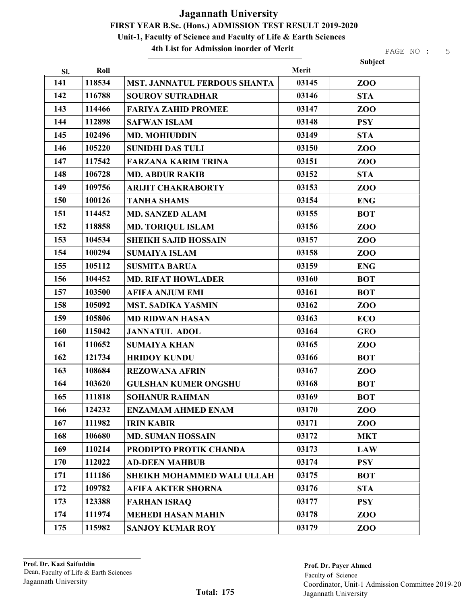4th List for Admission inorder of Merit

|     |        |                                     |       | Subject        |
|-----|--------|-------------------------------------|-------|----------------|
| Sl. | Roll   |                                     | Merit |                |
| 141 | 118534 | <b>MST. JANNATUL FERDOUS SHANTA</b> | 03145 | Z <sub>0</sub> |
| 142 | 116788 | <b>SOUROV SUTRADHAR</b>             | 03146 | <b>STA</b>     |
| 143 | 114466 | <b>FARIYA ZAHID PROMEE</b>          | 03147 | ZOO            |
| 144 | 112898 | <b>SAFWAN ISLAM</b>                 | 03148 | <b>PSY</b>     |
| 145 | 102496 | <b>MD. MOHIUDDIN</b>                | 03149 | <b>STA</b>     |
| 146 | 105220 | <b>SUNIDHI DAS TULI</b>             | 03150 | Z <sub>0</sub> |
| 147 | 117542 | <b>FARZANA KARIM TRINA</b>          | 03151 | ZOO            |
| 148 | 106728 | <b>MD. ABDUR RAKIB</b>              | 03152 | <b>STA</b>     |
| 149 | 109756 | <b>ARIJIT CHAKRABORTY</b>           | 03153 | ZOO            |
| 150 | 100126 | <b>TANHA SHAMS</b>                  | 03154 | <b>ENG</b>     |
| 151 | 114452 | <b>MD. SANZED ALAM</b>              | 03155 | <b>BOT</b>     |
| 152 | 118858 | <b>MD. TORIQUL ISLAM</b>            | 03156 | ZOO            |
| 153 | 104534 | <b>SHEIKH SAJID HOSSAIN</b>         | 03157 | ZOO            |
| 154 | 100294 | <b>SUMAIYA ISLAM</b>                | 03158 | ZOO            |
| 155 | 105112 | <b>SUSMITA BARUA</b>                | 03159 | <b>ENG</b>     |
| 156 | 104452 | <b>MD. RIFAT HOWLADER</b>           | 03160 | <b>BOT</b>     |
| 157 | 103500 | <b>AFIFA ANJUM EMI</b>              | 03161 | <b>BOT</b>     |
| 158 | 105092 | <b>MST. SADIKA YASMIN</b>           | 03162 | ZOO            |
| 159 | 105806 | <b>MD RIDWAN HASAN</b>              | 03163 | <b>ECO</b>     |
| 160 | 115042 | <b>JANNATUL ADOL</b>                | 03164 | <b>GEO</b>     |
| 161 | 110652 | <b>SUMAIYA KHAN</b>                 | 03165 | ZOO            |
| 162 | 121734 | <b>HRIDOY KUNDU</b>                 | 03166 | <b>BOT</b>     |
| 163 | 108684 | <b>REZOWANA AFRIN</b>               | 03167 | ZOO            |
| 164 | 103620 | <b>GULSHAN KUMER ONGSHU</b>         | 03168 | <b>BOT</b>     |
| 165 | 111818 | <b>SOHANUR RAHMAN</b>               | 03169 | <b>BOT</b>     |
| 166 | 124232 | <b>ENZAMAM AHMED ENAM</b>           | 03170 | Z <sub>0</sub> |
| 167 | 111982 | <b>IRIN KABIR</b>                   | 03171 | ZOO            |
| 168 | 106680 | <b>MD. SUMAN HOSSAIN</b>            | 03172 | <b>MKT</b>     |
| 169 | 110214 | PRODIPTO PROTIK CHANDA              | 03173 | <b>LAW</b>     |
| 170 | 112022 | <b>AD-DEEN MAHBUB</b>               | 03174 | <b>PSY</b>     |
| 171 | 111186 | <b>SHEIKH MOHAMMED WALI ULLAH</b>   | 03175 | <b>BOT</b>     |
| 172 | 109782 | <b>AFIFA AKTER SHORNA</b>           | 03176 | <b>STA</b>     |
| 173 | 123388 | <b>FARHAN ISRAQ</b>                 | 03177 | <b>PSY</b>     |
| 174 | 111974 | <b>MEHEDI HASAN MAHIN</b>           | 03178 | ZOO            |
| 175 | 115982 | <b>SANJOY KUMAR ROY</b>             | 03179 | Z <sub>0</sub> |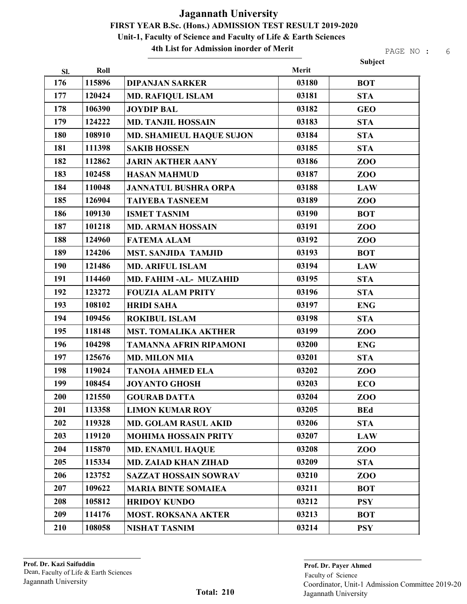#### 4th List for Admission inorder of Merit

| Subject<br>Roll<br>Merit<br>Sl.<br>115896<br>176<br>03180<br><b>DIPANJAN SARKER</b><br><b>BOT</b><br>177<br>120424<br>03181<br><b>MD. RAFIQUL ISLAM</b><br><b>STA</b><br>178<br>106390<br>03182<br><b>JOYDIP BAL</b><br><b>GEO</b><br>179<br>124222<br>03183<br><b>MD. TANJIL HOSSAIN</b><br><b>STA</b><br>180<br>108910<br>03184<br><b>STA</b><br><b>MD. SHAMIEUL HAQUE SUJON</b><br>181<br>03185<br>111398<br><b>SAKIB HOSSEN</b><br><b>STA</b><br>182<br>112862<br>03186<br><b>JARIN AKTHER AANY</b><br>ZOO<br>183<br>102458<br>03187<br><b>HASAN MAHMUD</b><br>ZOO<br>184<br>110048<br>03188<br><b>JANNATUL BUSHRA ORPA</b><br><b>LAW</b><br>185<br>126904<br>03189<br><b>TAIYEBA TASNEEM</b><br>ZOO<br>186<br>109130<br>03190<br><b>ISMET TASNIM</b><br><b>BOT</b><br>187<br>101218<br>03191<br>ZOO<br><b>MD. ARMAN HOSSAIN</b><br>188<br>124960<br>03192<br><b>FATEMA ALAM</b><br>ZOO<br>189<br>124206<br>03193<br><b>MST. SANJIDA TAMJID</b><br><b>BOT</b><br>190<br>03194<br>121486<br><b>MD. ARIFUL ISLAM</b><br><b>LAW</b><br>191<br>114460<br>03195<br><b>STA</b><br>MD. FAHIM-AL- MUZAHID<br>192<br>03196<br>123272<br><b>FOUZIA ALAM PRITY</b><br><b>STA</b><br>193<br>108102<br>03197<br><b>HRIDI SAHA</b><br><b>ENG</b><br>194<br>03198<br>109456<br><b>ROKIBUL ISLAM</b><br><b>STA</b><br>195<br>118148<br>03199<br><b>MST. TOMALIKA AKTHER</b><br>ZOO |
|------------------------------------------------------------------------------------------------------------------------------------------------------------------------------------------------------------------------------------------------------------------------------------------------------------------------------------------------------------------------------------------------------------------------------------------------------------------------------------------------------------------------------------------------------------------------------------------------------------------------------------------------------------------------------------------------------------------------------------------------------------------------------------------------------------------------------------------------------------------------------------------------------------------------------------------------------------------------------------------------------------------------------------------------------------------------------------------------------------------------------------------------------------------------------------------------------------------------------------------------------------------------------------------------------------------------------------------------------------------------|
|                                                                                                                                                                                                                                                                                                                                                                                                                                                                                                                                                                                                                                                                                                                                                                                                                                                                                                                                                                                                                                                                                                                                                                                                                                                                                                                                                                        |
|                                                                                                                                                                                                                                                                                                                                                                                                                                                                                                                                                                                                                                                                                                                                                                                                                                                                                                                                                                                                                                                                                                                                                                                                                                                                                                                                                                        |
|                                                                                                                                                                                                                                                                                                                                                                                                                                                                                                                                                                                                                                                                                                                                                                                                                                                                                                                                                                                                                                                                                                                                                                                                                                                                                                                                                                        |
|                                                                                                                                                                                                                                                                                                                                                                                                                                                                                                                                                                                                                                                                                                                                                                                                                                                                                                                                                                                                                                                                                                                                                                                                                                                                                                                                                                        |
|                                                                                                                                                                                                                                                                                                                                                                                                                                                                                                                                                                                                                                                                                                                                                                                                                                                                                                                                                                                                                                                                                                                                                                                                                                                                                                                                                                        |
|                                                                                                                                                                                                                                                                                                                                                                                                                                                                                                                                                                                                                                                                                                                                                                                                                                                                                                                                                                                                                                                                                                                                                                                                                                                                                                                                                                        |
|                                                                                                                                                                                                                                                                                                                                                                                                                                                                                                                                                                                                                                                                                                                                                                                                                                                                                                                                                                                                                                                                                                                                                                                                                                                                                                                                                                        |
|                                                                                                                                                                                                                                                                                                                                                                                                                                                                                                                                                                                                                                                                                                                                                                                                                                                                                                                                                                                                                                                                                                                                                                                                                                                                                                                                                                        |
|                                                                                                                                                                                                                                                                                                                                                                                                                                                                                                                                                                                                                                                                                                                                                                                                                                                                                                                                                                                                                                                                                                                                                                                                                                                                                                                                                                        |
|                                                                                                                                                                                                                                                                                                                                                                                                                                                                                                                                                                                                                                                                                                                                                                                                                                                                                                                                                                                                                                                                                                                                                                                                                                                                                                                                                                        |
|                                                                                                                                                                                                                                                                                                                                                                                                                                                                                                                                                                                                                                                                                                                                                                                                                                                                                                                                                                                                                                                                                                                                                                                                                                                                                                                                                                        |
|                                                                                                                                                                                                                                                                                                                                                                                                                                                                                                                                                                                                                                                                                                                                                                                                                                                                                                                                                                                                                                                                                                                                                                                                                                                                                                                                                                        |
|                                                                                                                                                                                                                                                                                                                                                                                                                                                                                                                                                                                                                                                                                                                                                                                                                                                                                                                                                                                                                                                                                                                                                                                                                                                                                                                                                                        |
|                                                                                                                                                                                                                                                                                                                                                                                                                                                                                                                                                                                                                                                                                                                                                                                                                                                                                                                                                                                                                                                                                                                                                                                                                                                                                                                                                                        |
|                                                                                                                                                                                                                                                                                                                                                                                                                                                                                                                                                                                                                                                                                                                                                                                                                                                                                                                                                                                                                                                                                                                                                                                                                                                                                                                                                                        |
|                                                                                                                                                                                                                                                                                                                                                                                                                                                                                                                                                                                                                                                                                                                                                                                                                                                                                                                                                                                                                                                                                                                                                                                                                                                                                                                                                                        |
|                                                                                                                                                                                                                                                                                                                                                                                                                                                                                                                                                                                                                                                                                                                                                                                                                                                                                                                                                                                                                                                                                                                                                                                                                                                                                                                                                                        |
|                                                                                                                                                                                                                                                                                                                                                                                                                                                                                                                                                                                                                                                                                                                                                                                                                                                                                                                                                                                                                                                                                                                                                                                                                                                                                                                                                                        |
|                                                                                                                                                                                                                                                                                                                                                                                                                                                                                                                                                                                                                                                                                                                                                                                                                                                                                                                                                                                                                                                                                                                                                                                                                                                                                                                                                                        |
|                                                                                                                                                                                                                                                                                                                                                                                                                                                                                                                                                                                                                                                                                                                                                                                                                                                                                                                                                                                                                                                                                                                                                                                                                                                                                                                                                                        |
|                                                                                                                                                                                                                                                                                                                                                                                                                                                                                                                                                                                                                                                                                                                                                                                                                                                                                                                                                                                                                                                                                                                                                                                                                                                                                                                                                                        |
| 196<br>104298<br>03200<br><b>TAMANNA AFRIN RIPAMONI</b><br><b>ENG</b>                                                                                                                                                                                                                                                                                                                                                                                                                                                                                                                                                                                                                                                                                                                                                                                                                                                                                                                                                                                                                                                                                                                                                                                                                                                                                                  |
| 197<br>125676<br>03201<br><b>MD. MILON MIA</b><br><b>STA</b>                                                                                                                                                                                                                                                                                                                                                                                                                                                                                                                                                                                                                                                                                                                                                                                                                                                                                                                                                                                                                                                                                                                                                                                                                                                                                                           |
| 198<br>119024<br>03202<br><b>TANOIA AHMED ELA</b><br>ZOO                                                                                                                                                                                                                                                                                                                                                                                                                                                                                                                                                                                                                                                                                                                                                                                                                                                                                                                                                                                                                                                                                                                                                                                                                                                                                                               |
| 199<br>03203<br>108454<br><b>JOYANTO GHOSH</b><br><b>ECO</b>                                                                                                                                                                                                                                                                                                                                                                                                                                                                                                                                                                                                                                                                                                                                                                                                                                                                                                                                                                                                                                                                                                                                                                                                                                                                                                           |
| 200<br>121550<br>03204<br><b>GOURAB DATTA</b><br>ZOO                                                                                                                                                                                                                                                                                                                                                                                                                                                                                                                                                                                                                                                                                                                                                                                                                                                                                                                                                                                                                                                                                                                                                                                                                                                                                                                   |
| 201<br>113358<br>03205<br><b>LIMON KUMAR ROY</b><br><b>BEd</b>                                                                                                                                                                                                                                                                                                                                                                                                                                                                                                                                                                                                                                                                                                                                                                                                                                                                                                                                                                                                                                                                                                                                                                                                                                                                                                         |
| 202<br>119328<br>03206<br><b>STA</b><br><b>MD. GOLAM RASUL AKID</b>                                                                                                                                                                                                                                                                                                                                                                                                                                                                                                                                                                                                                                                                                                                                                                                                                                                                                                                                                                                                                                                                                                                                                                                                                                                                                                    |
| 203<br>119120<br>03207<br><b>LAW</b><br><b>MOHIMA HOSSAIN PRITY</b>                                                                                                                                                                                                                                                                                                                                                                                                                                                                                                                                                                                                                                                                                                                                                                                                                                                                                                                                                                                                                                                                                                                                                                                                                                                                                                    |
| 204<br>115870<br>03208<br><b>MD. ENAMUL HAQUE</b><br><b>ZOO</b>                                                                                                                                                                                                                                                                                                                                                                                                                                                                                                                                                                                                                                                                                                                                                                                                                                                                                                                                                                                                                                                                                                                                                                                                                                                                                                        |
| 205<br>03209<br>115334<br><b>MD. ZAIAD KHAN ZIHAD</b><br><b>STA</b>                                                                                                                                                                                                                                                                                                                                                                                                                                                                                                                                                                                                                                                                                                                                                                                                                                                                                                                                                                                                                                                                                                                                                                                                                                                                                                    |
| 206<br>123752<br>03210<br><b>SAZZAT HOSSAIN SOWRAV</b><br>ZOO                                                                                                                                                                                                                                                                                                                                                                                                                                                                                                                                                                                                                                                                                                                                                                                                                                                                                                                                                                                                                                                                                                                                                                                                                                                                                                          |
| 207<br>109622<br>03211<br><b>MARIA BINTE SOMAIEA</b><br><b>BOT</b>                                                                                                                                                                                                                                                                                                                                                                                                                                                                                                                                                                                                                                                                                                                                                                                                                                                                                                                                                                                                                                                                                                                                                                                                                                                                                                     |
| 208<br>105812<br>03212<br><b>HRIDOY KUNDO</b><br><b>PSY</b>                                                                                                                                                                                                                                                                                                                                                                                                                                                                                                                                                                                                                                                                                                                                                                                                                                                                                                                                                                                                                                                                                                                                                                                                                                                                                                            |
| 209<br>114176<br>03213<br><b>MOST. ROKSANA AKTER</b><br><b>BOT</b>                                                                                                                                                                                                                                                                                                                                                                                                                                                                                                                                                                                                                                                                                                                                                                                                                                                                                                                                                                                                                                                                                                                                                                                                                                                                                                     |
| 210<br>108058<br>03214<br><b>NISHAT TASNIM</b><br><b>PSY</b>                                                                                                                                                                                                                                                                                                                                                                                                                                                                                                                                                                                                                                                                                                                                                                                                                                                                                                                                                                                                                                                                                                                                                                                                                                                                                                           |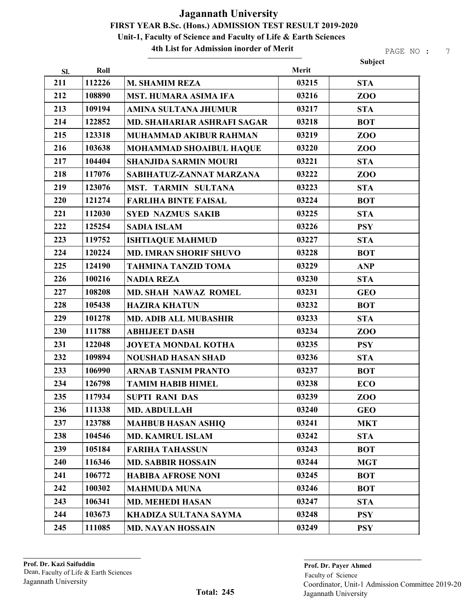#### 4th List for Admission inorder of Merit

|     |        |                                    |       | Subject         |
|-----|--------|------------------------------------|-------|-----------------|
| Sl. | Roll   |                                    | Merit |                 |
| 211 | 112226 | <b>M. SHAMIM REZA</b>              | 03215 | <b>STA</b>      |
| 212 | 108890 | <b>MST. HUMARA ASIMA IFA</b>       | 03216 | <b>ZOO</b>      |
| 213 | 109194 | <b>AMINA SULTANA JHUMUR</b>        | 03217 | <b>STA</b>      |
| 214 | 122852 | <b>MD. SHAHARIAR ASHRAFI SAGAR</b> | 03218 | <b>BOT</b>      |
| 215 | 123318 | <b>MUHAMMAD AKIBUR RAHMAN</b>      | 03219 | ZOO             |
| 216 | 103638 | MOHAMMAD SHOAIBUL HAQUE            | 03220 | <b>ZOO</b>      |
| 217 | 104404 | <b>SHANJIDA SARMIN MOURI</b>       | 03221 | <b>STA</b>      |
| 218 | 117076 | SABIHATUZ-ZANNAT MARZANA           | 03222 | ZO <sub>O</sub> |
| 219 | 123076 | MST. TARMIN SULTANA                | 03223 | <b>STA</b>      |
| 220 | 121274 | <b>FARLIHA BINTE FAISAL</b>        | 03224 | <b>BOT</b>      |
| 221 | 112030 | <b>SYED NAZMUS SAKIB</b>           | 03225 | <b>STA</b>      |
| 222 | 125254 | <b>SADIA ISLAM</b>                 | 03226 | <b>PSY</b>      |
| 223 | 119752 | <b>ISHTIAQUE MAHMUD</b>            | 03227 | <b>STA</b>      |
| 224 | 120224 | <b>MD. IMRAN SHORIF SHUVO</b>      | 03228 | <b>BOT</b>      |
| 225 | 124190 | <b>TAHMINA TANZID TOMA</b>         | 03229 | <b>ANP</b>      |
| 226 | 100216 | <b>NADIA REZA</b>                  | 03230 | <b>STA</b>      |
| 227 | 108208 | <b>MD. SHAH NAWAZ ROMEL</b>        | 03231 | <b>GEO</b>      |
| 228 | 105438 | <b>HAZIRA KHATUN</b>               | 03232 | <b>BOT</b>      |
| 229 | 101278 | <b>MD. ADIB ALL MUBASHIR</b>       | 03233 | <b>STA</b>      |
| 230 | 111788 | <b>ABHIJEET DASH</b>               | 03234 | <b>ZOO</b>      |
| 231 | 122048 | <b>JOYETA MONDAL KOTHA</b>         | 03235 | <b>PSY</b>      |
| 232 | 109894 | <b>NOUSHAD HASAN SHAD</b>          | 03236 | <b>STA</b>      |
| 233 | 106990 | <b>ARNAB TASNIM PRANTO</b>         | 03237 | <b>BOT</b>      |
| 234 | 126798 | <b>TAMIM HABIB HIMEL</b>           | 03238 | <b>ECO</b>      |
| 235 | 117934 | <b>SUPTI RANI DAS</b>              | 03239 | ZOO             |
| 236 | 111338 | <b>MD. ABDULLAH</b>                | 03240 | <b>GEO</b>      |
| 237 | 123788 | <b>MAHBUB HASAN ASHIQ</b>          | 03241 | <b>MKT</b>      |
| 238 | 104546 | <b>MD. KAMRUL ISLAM</b>            | 03242 | <b>STA</b>      |
| 239 | 105184 | <b>FARIHA TAHASSUN</b>             | 03243 | <b>BOT</b>      |
| 240 | 116346 | <b>MD. SABBIR HOSSAIN</b>          | 03244 | <b>MGT</b>      |
| 241 | 106772 | <b>HABIBA AFROSE NONI</b>          | 03245 | <b>BOT</b>      |
| 242 | 100302 | <b>MAHMUDA MUNA</b>                | 03246 | <b>BOT</b>      |
| 243 | 106341 | <b>MD. MEHEDI HASAN</b>            | 03247 | <b>STA</b>      |
| 244 | 103673 | KHADIZA SULTANA SAYMA              | 03248 | <b>PSY</b>      |
| 245 | 111085 | <b>MD. NAYAN HOSSAIN</b>           | 03249 | <b>PSY</b>      |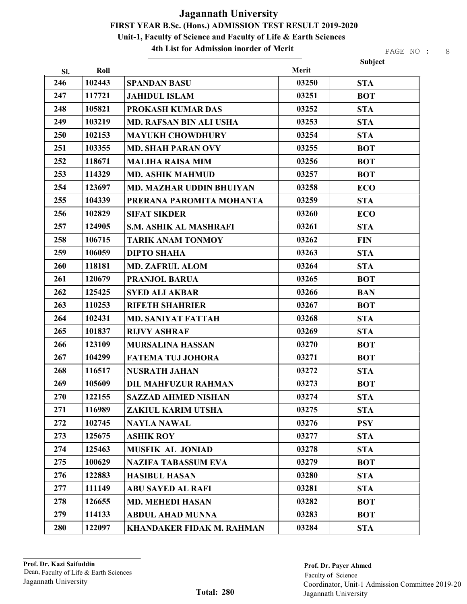#### 4th List for Admission inorder of Merit

|     |        |                                  |       | Subject    |
|-----|--------|----------------------------------|-------|------------|
| SI. | Roll   |                                  | Merit |            |
| 246 | 102443 | <b>SPANDAN BASU</b>              | 03250 | <b>STA</b> |
| 247 | 117721 | <b>JAHIDUL ISLAM</b>             | 03251 | <b>BOT</b> |
| 248 | 105821 | PROKASH KUMAR DAS                | 03252 | <b>STA</b> |
| 249 | 103219 | <b>MD. RAFSAN BIN ALI USHA</b>   | 03253 | <b>STA</b> |
| 250 | 102153 | <b>MAYUKH CHOWDHURY</b>          | 03254 | <b>STA</b> |
| 251 | 103355 | <b>MD. SHAH PARAN OVY</b>        | 03255 | <b>BOT</b> |
| 252 | 118671 | <b>MALIHA RAISA MIM</b>          | 03256 | <b>BOT</b> |
| 253 | 114329 | <b>MD. ASHIK MAHMUD</b>          | 03257 | <b>BOT</b> |
| 254 | 123697 | <b>MD. MAZHAR UDDIN BHUIYAN</b>  | 03258 | <b>ECO</b> |
| 255 | 104339 | PRERANA PAROMITA MOHANTA         | 03259 | <b>STA</b> |
| 256 | 102829 | <b>SIFAT SIKDER</b>              | 03260 | <b>ECO</b> |
| 257 | 124905 | <b>S.M. ASHIK AL MASHRAFI</b>    | 03261 | <b>STA</b> |
| 258 | 106715 | <b>TARIK ANAM TONMOY</b>         | 03262 | <b>FIN</b> |
| 259 | 106059 | <b>DIPTO SHAHA</b>               | 03263 | <b>STA</b> |
| 260 | 118181 | <b>MD. ZAFRUL ALOM</b>           | 03264 | <b>STA</b> |
| 261 | 120679 | <b>PRANJOL BARUA</b>             | 03265 | <b>BOT</b> |
| 262 | 125425 | <b>SYED ALI AKBAR</b>            | 03266 | <b>BAN</b> |
| 263 | 110253 | <b>RIFETH SHAHRIER</b>           | 03267 | <b>BOT</b> |
| 264 | 102431 | <b>MD. SANIYAT FATTAH</b>        | 03268 | <b>STA</b> |
| 265 | 101837 | <b>RIJVY ASHRAF</b>              | 03269 | <b>STA</b> |
| 266 | 123109 | <b>MURSALINA HASSAN</b>          | 03270 | <b>BOT</b> |
| 267 | 104299 | <b>FATEMA TUJ JOHORA</b>         | 03271 | <b>BOT</b> |
| 268 | 116517 | <b>NUSRATH JAHAN</b>             | 03272 | <b>STA</b> |
| 269 | 105609 | <b>DIL MAHFUZUR RAHMAN</b>       | 03273 | <b>BOT</b> |
| 270 | 122155 | <b>SAZZAD AHMED NISHAN</b>       | 03274 | <b>STA</b> |
| 271 | 116989 | ZAKIUL KARIM UTSHA               | 03275 | <b>STA</b> |
| 272 | 102745 | <b>NAYLA NAWAL</b>               | 03276 | <b>PSY</b> |
| 273 | 125675 | <b>ASHIK ROY</b>                 | 03277 | <b>STA</b> |
| 274 | 125463 | <b>MUSFIK AL JONIAD</b>          | 03278 | <b>STA</b> |
| 275 | 100629 | <b>NAZIFA TABASSUM EVA</b>       | 03279 | <b>BOT</b> |
| 276 | 122883 | <b>HASIBUL HASAN</b>             | 03280 | <b>STA</b> |
| 277 | 111149 | <b>ABU SAYED AL RAFI</b>         | 03281 | <b>STA</b> |
| 278 | 126655 | <b>MD. MEHEDI HASAN</b>          | 03282 | <b>BOT</b> |
| 279 | 114133 | <b>ABDUL AHAD MUNNA</b>          | 03283 | <b>BOT</b> |
| 280 | 122097 | <b>KHANDAKER FIDAK M. RAHMAN</b> | 03284 | <b>STA</b> |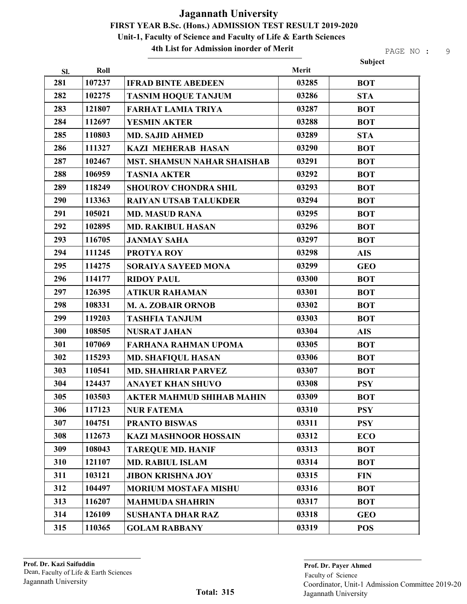4th List for Admission inorder of Merit

| Sl. | Roll   |                                    | Merit | Subject    |
|-----|--------|------------------------------------|-------|------------|
| 281 | 107237 | <b>IFRAD BINTE ABEDEEN</b>         | 03285 | <b>BOT</b> |
| 282 | 102275 | <b>TASNIM HOQUE TANJUM</b>         | 03286 | <b>STA</b> |
| 283 | 121807 | <b>FARHAT LAMIA TRIYA</b>          | 03287 | <b>BOT</b> |
| 284 | 112697 | <b>YESMIN AKTER</b>                | 03288 | <b>BOT</b> |
| 285 | 110803 | <b>MD. SAJID AHMED</b>             | 03289 | <b>STA</b> |
| 286 | 111327 | <b>KAZI MEHERAB HASAN</b>          | 03290 | <b>BOT</b> |
| 287 | 102467 | <b>MST. SHAMSUN NAHAR SHAISHAB</b> | 03291 | <b>BOT</b> |
| 288 | 106959 | <b>TASNIA AKTER</b>                | 03292 | <b>BOT</b> |
| 289 | 118249 | <b>SHOUROV CHONDRA SHIL</b>        | 03293 | <b>BOT</b> |
| 290 | 113363 | <b>RAIYAN UTSAB TALUKDER</b>       | 03294 | <b>BOT</b> |
| 291 | 105021 | <b>MD. MASUD RANA</b>              | 03295 | <b>BOT</b> |
| 292 | 102895 | <b>MD. RAKIBUL HASAN</b>           | 03296 | <b>BOT</b> |
| 293 | 116705 | <b>JANMAY SAHA</b>                 | 03297 | <b>BOT</b> |
| 294 | 111245 | <b>PROTYA ROY</b>                  | 03298 | <b>AIS</b> |
| 295 | 114275 | SORAIYA SAYEED MONA                | 03299 | <b>GEO</b> |
| 296 | 114177 | <b>RIDOY PAUL</b>                  | 03300 | <b>BOT</b> |
| 297 | 126395 | <b>ATIKUR RAHAMAN</b>              | 03301 | <b>BOT</b> |
| 298 | 108331 | M. A. ZOBAIR ORNOB                 | 03302 | <b>BOT</b> |
| 299 | 119203 | <b>TASHFIA TANJUM</b>              | 03303 | <b>BOT</b> |
| 300 | 108505 | <b>NUSRAT JAHAN</b>                | 03304 | <b>AIS</b> |
| 301 | 107069 | <b>FARHANA RAHMAN UPOMA</b>        | 03305 | <b>BOT</b> |
| 302 | 115293 | <b>MD. SHAFIQUL HASAN</b>          | 03306 | <b>BOT</b> |
| 303 | 110541 | <b>MD. SHAHRIAR PARVEZ</b>         | 03307 | <b>BOT</b> |
| 304 | 124437 | <b>ANAYET KHAN SHUVO</b>           | 03308 | <b>PSY</b> |
| 305 | 103503 | AKTER MAHMUD SHIHAB MAHIN          | 03309 | <b>BOT</b> |
| 306 | 117123 | <b>NUR FATEMA</b>                  | 03310 | <b>PSY</b> |
| 307 | 104751 | <b>PRANTO BISWAS</b>               | 03311 | <b>PSY</b> |
| 308 | 112673 | <b>KAZI MASHNOOR HOSSAIN</b>       | 03312 | <b>ECO</b> |
| 309 | 108043 | <b>TAREQUE MD. HANIF</b>           | 03313 | <b>BOT</b> |
| 310 | 121107 | <b>MD. RABIUL ISLAM</b>            | 03314 | <b>BOT</b> |
| 311 | 103121 | <b>JIBON KRISHNA JOY</b>           | 03315 | <b>FIN</b> |
| 312 | 104497 | <b>MORIUM MOSTAFA MISHU</b>        | 03316 | <b>BOT</b> |
| 313 | 116207 | <b>MAHMUDA SHAHRIN</b>             | 03317 | <b>BOT</b> |
| 314 | 126109 | <b>SUSHANTA DHAR RAZ</b>           | 03318 | <b>GEO</b> |
| 315 | 110365 | <b>GOLAM RABBANY</b>               | 03319 | <b>POS</b> |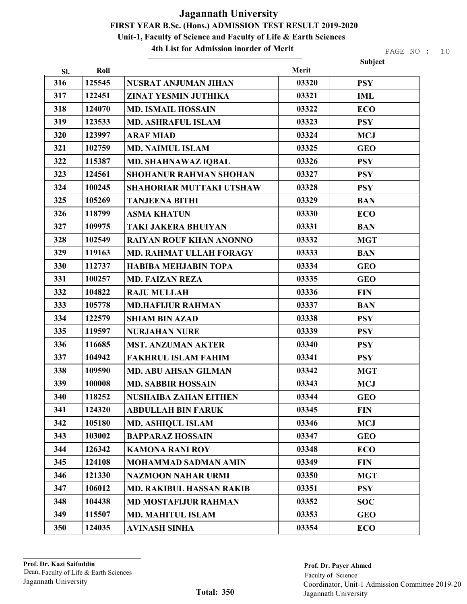4th List for Admission inorder of Merit

PAGE NO : 10

|     |        |                                 |       | Subject    |
|-----|--------|---------------------------------|-------|------------|
| SI. | Roll   |                                 | Merit |            |
| 316 | 125545 | <b>NUSRAT ANJUMAN JIHAN</b>     | 03320 | <b>PSY</b> |
| 317 | 122451 | <b>ZINAT YESMIN JUTHIKA</b>     | 03321 | <b>IML</b> |
| 318 | 124070 | <b>MD. ISMAIL HOSSAIN</b>       | 03322 | <b>ECO</b> |
| 319 | 123533 | <b>MD. ASHRAFUL ISLAM</b>       | 03323 | <b>PSY</b> |
| 320 | 123997 | <b>ARAF MIAD</b>                | 03324 | <b>MCJ</b> |
| 321 | 102759 | <b>MD. NAIMUL ISLAM</b>         | 03325 | <b>GEO</b> |
| 322 | 115387 | <b>MD. SHAHNAWAZ IQBAL</b>      | 03326 | <b>PSY</b> |
| 323 | 124561 | <b>SHOHANUR RAHMAN SHOHAN</b>   | 03327 | <b>PSY</b> |
| 324 | 100245 | <b>SHAHORIAR MUTTAKI UTSHAW</b> | 03328 | <b>PSY</b> |
| 325 | 105269 | <b>TANJEENA BITHI</b>           | 03329 | <b>BAN</b> |
| 326 | 118799 | <b>ASMA KHATUN</b>              | 03330 | <b>ECO</b> |
| 327 | 109975 | <b>TAKI JAKERA BHUIYAN</b>      | 03331 | <b>BAN</b> |
| 328 | 102549 | <b>RAIYAN ROUF KHAN ANONNO</b>  | 03332 | <b>MGT</b> |
| 329 | 119163 | <b>MD. RAHMAT ULLAH FORAGY</b>  | 03333 | <b>BAN</b> |
| 330 | 112737 | <b>HABIBA MEHJABIN TOPA</b>     | 03334 | <b>GEO</b> |
| 331 | 100257 | <b>MD. FAIZAN REZA</b>          | 03335 | <b>GEO</b> |
| 332 | 104822 | <b>RAJU MULLAH</b>              | 03336 | <b>FIN</b> |
| 333 | 105778 | <b>MD.HAFIJUR RAHMAN</b>        | 03337 | <b>BAN</b> |
| 334 | 122579 | <b>SHIAM BIN AZAD</b>           | 03338 | <b>PSY</b> |
| 335 | 119597 | <b>NURJAHAN NURE</b>            | 03339 | <b>PSY</b> |
| 336 | 116685 | <b>MST. ANZUMAN AKTER</b>       | 03340 | <b>PSY</b> |
| 337 | 104942 | <b>FAKHRUL ISLAM FAHIM</b>      | 03341 | <b>PSY</b> |
| 338 | 109590 | <b>MD. ABU AHSAN GILMAN</b>     | 03342 | <b>MGT</b> |
| 339 | 100008 | <b>MD. SABBIR HOSSAIN</b>       | 03343 | <b>MCJ</b> |
| 340 | 118252 | <b>NUSHAIBA ZAHAN EITHEN</b>    | 03344 | <b>GEO</b> |
| 341 | 124320 | <b>ABDULLAH BIN FARUK</b>       | 03345 | <b>FIN</b> |
| 342 | 105180 | <b>MD. ASHIQUL ISLAM</b>        | 03346 | <b>MCJ</b> |
| 343 | 103002 | <b>BAPPARAZ HOSSAIN</b>         | 03347 | <b>GEO</b> |
| 344 | 126342 | <b>KAMONA RANI ROY</b>          | 03348 | <b>ECO</b> |
| 345 | 124108 | <b>MOHAMMAD SADMAN AMIN</b>     | 03349 | <b>FIN</b> |
| 346 | 121330 | <b>NAZMOON NAHAR URMI</b>       | 03350 | <b>MGT</b> |
| 347 | 106012 | <b>MD. RAKIBUL HASSAN RAKIB</b> | 03351 | <b>PSY</b> |
| 348 | 104438 | <b>MD MOSTAFIJUR RAHMAN</b>     | 03352 | <b>SOC</b> |
| 349 | 115507 | <b>MD. MAHITUL ISLAM</b>        | 03353 | <b>GEO</b> |
| 350 | 124035 | <b>AVINASH SINHA</b>            | 03354 | <b>ECO</b> |

Faculty of Science Prof. Dr. Payer Ahmed Jagannath University Coordinator, Unit-1 Admission Committee 2019-20 Jagannath University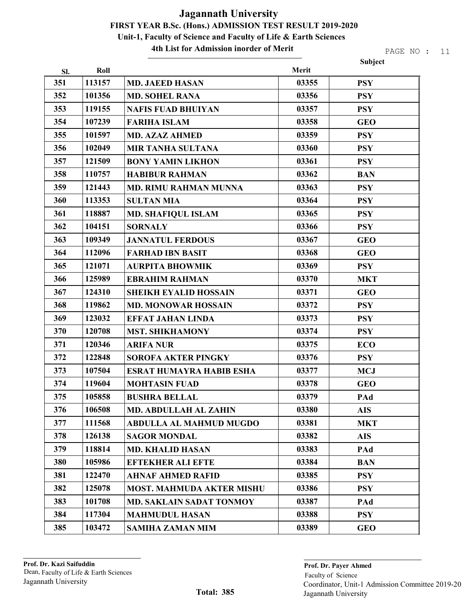4th List for Admission inorder of Merit

PAGE NO : 11

Subject

| Sl. | Roll   |                                  | Merit |            |
|-----|--------|----------------------------------|-------|------------|
| 351 | 113157 | <b>MD. JAEED HASAN</b>           | 03355 | <b>PSY</b> |
| 352 | 101356 | <b>MD. SOHEL RANA</b>            | 03356 | <b>PSY</b> |
| 353 | 119155 | <b>NAFIS FUAD BHUIYAN</b>        | 03357 | <b>PSY</b> |
| 354 | 107239 | <b>FARIHA ISLAM</b>              | 03358 | <b>GEO</b> |
| 355 | 101597 | <b>MD. AZAZ AHMED</b>            | 03359 | <b>PSY</b> |
| 356 | 102049 | <b>MIR TANHA SULTANA</b>         | 03360 | <b>PSY</b> |
| 357 | 121509 | <b>BONY YAMIN LIKHON</b>         | 03361 | <b>PSY</b> |
| 358 | 110757 | <b>HABIBUR RAHMAN</b>            | 03362 | <b>BAN</b> |
| 359 | 121443 | <b>MD. RIMU RAHMAN MUNNA</b>     | 03363 | <b>PSY</b> |
| 360 | 113353 | <b>SULTAN MIA</b>                | 03364 | <b>PSY</b> |
| 361 | 118887 | <b>MD. SHAFIQUL ISLAM</b>        | 03365 | <b>PSY</b> |
| 362 | 104151 | <b>SORNALY</b>                   | 03366 | <b>PSY</b> |
| 363 | 109349 | <b>JANNATUL FERDOUS</b>          | 03367 | <b>GEO</b> |
| 364 | 112096 | <b>FARHAD IBN BASIT</b>          | 03368 | <b>GEO</b> |
| 365 | 121071 | <b>AURPITA BHOWMIK</b>           | 03369 | <b>PSY</b> |
| 366 | 125989 | <b>EBRAHIM RAHMAN</b>            | 03370 | <b>MKT</b> |
| 367 | 124310 | <b>SHEIKH EYALID HOSSAIN</b>     | 03371 | <b>GEO</b> |
| 368 | 119862 | <b>MD. MONOWAR HOSSAIN</b>       | 03372 | <b>PSY</b> |
| 369 | 123032 | <b>EFFAT JAHAN LINDA</b>         | 03373 | <b>PSY</b> |
| 370 | 120708 | <b>MST. SHIKHAMONY</b>           | 03374 | <b>PSY</b> |
| 371 | 120346 | <b>ARIFA NUR</b>                 | 03375 | <b>ECO</b> |
| 372 | 122848 | <b>SOROFA AKTER PINGKY</b>       | 03376 | <b>PSY</b> |
| 373 | 107504 | <b>ESRAT HUMAYRA HABIB ESHA</b>  | 03377 | <b>MCJ</b> |
| 374 | 119604 | <b>MOHTASIN FUAD</b>             | 03378 | <b>GEO</b> |
| 375 | 105858 | <b>BUSHRA BELLAL</b>             | 03379 | PAd        |
| 376 | 106508 | <b>MD. ABDULLAH AL ZAHIN</b>     | 03380 | <b>AIS</b> |
| 377 | 111568 | <b>ABDULLA AL MAHMUD MUGDO</b>   | 03381 | <b>MKT</b> |
| 378 | 126138 | <b>SAGOR MONDAL</b>              | 03382 | <b>AIS</b> |
| 379 | 118814 | <b>MD. KHALID HASAN</b>          | 03383 | PAd        |
| 380 | 105986 | <b>EFTEKHER ALI EFTE</b>         | 03384 | <b>BAN</b> |
| 381 | 122470 | <b>AHNAF AHMED RAFID</b>         | 03385 | <b>PSY</b> |
| 382 | 125078 | <b>MOST. MAHMUDA AKTER MISHU</b> | 03386 | <b>PSY</b> |
| 383 | 101708 | <b>MD. SAKLAIN SADAT TONMOY</b>  | 03387 | PAd        |
| 384 | 117304 | <b>MAHMUDUL HASAN</b>            | 03388 | <b>PSY</b> |
| 385 | 103472 | <b>SAMIHA ZAMAN MIM</b>          | 03389 | <b>GEO</b> |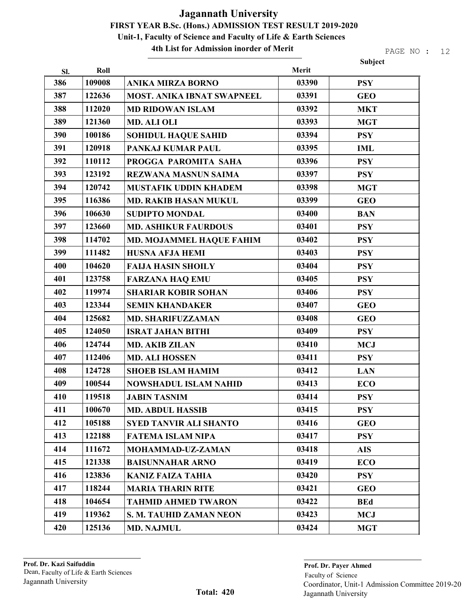4th List for Admission inorder of Merit

|     |        |                                   |       | Subject    |
|-----|--------|-----------------------------------|-------|------------|
| Sl. | Roll   |                                   | Merit |            |
| 386 | 109008 | <b>ANIKA MIRZA BORNO</b>          | 03390 | <b>PSY</b> |
| 387 | 122636 | <b>MOST. ANIKA IBNAT SWAPNEEL</b> | 03391 | <b>GEO</b> |
| 388 | 112020 | <b>MD RIDOWAN ISLAM</b>           | 03392 | <b>MKT</b> |
| 389 | 121360 | <b>MD. ALI OLI</b>                | 03393 | <b>MGT</b> |
| 390 | 100186 | <b>SOHIDUL HAQUE SAHID</b>        | 03394 | <b>PSY</b> |
| 391 | 120918 | PANKAJ KUMAR PAUL                 | 03395 | <b>IML</b> |
| 392 | 110112 | PROGGA PAROMITA SAHA              | 03396 | <b>PSY</b> |
| 393 | 123192 | <b>REZWANA MASNUN SAIMA</b>       | 03397 | <b>PSY</b> |
| 394 | 120742 | <b>MUSTAFIK UDDIN KHADEM</b>      | 03398 | <b>MGT</b> |
| 395 | 116386 | <b>MD. RAKIB HASAN MUKUL</b>      | 03399 | <b>GEO</b> |
| 396 | 106630 | <b>SUDIPTO MONDAL</b>             | 03400 | <b>BAN</b> |
| 397 | 123660 | <b>MD. ASHIKUR FAURDOUS</b>       | 03401 | <b>PSY</b> |
| 398 | 114702 | MD. MOJAMMEL HAQUE FAHIM          | 03402 | <b>PSY</b> |
| 399 | 111482 | <b>HUSNA AFJA HEMI</b>            | 03403 | <b>PSY</b> |
| 400 | 104620 | <b>FAIJA HASIN SHOILY</b>         | 03404 | <b>PSY</b> |
| 401 | 123758 | <b>FARZANA HAQ EMU</b>            | 03405 | <b>PSY</b> |
| 402 | 119974 | <b>SHARIAR KOBIR SOHAN</b>        | 03406 | <b>PSY</b> |
| 403 | 123344 | <b>SEMIN KHANDAKER</b>            | 03407 | <b>GEO</b> |
| 404 | 125682 | <b>MD. SHARIFUZZAMAN</b>          | 03408 | <b>GEO</b> |
| 405 | 124050 | <b>ISRAT JAHAN BITHI</b>          | 03409 | <b>PSY</b> |
| 406 | 124744 | <b>MD. AKIB ZILAN</b>             | 03410 | <b>MCJ</b> |
| 407 | 112406 | <b>MD. ALI HOSSEN</b>             | 03411 | <b>PSY</b> |
| 408 | 124728 | <b>SHOEB ISLAM HAMIM</b>          | 03412 | <b>LAN</b> |
| 409 | 100544 | <b>NOWSHADUL ISLAM NAHID</b>      | 03413 | <b>ECO</b> |
| 410 | 119518 | <b>JABIN TASNIM</b>               | 03414 | <b>PSY</b> |
| 411 | 100670 | <b>MD. ABDUL HASSIB</b>           | 03415 | <b>PSY</b> |
| 412 | 105188 | <b>SYED TANVIR ALI SHANTO</b>     | 03416 | <b>GEO</b> |
| 413 | 122188 | <b>FATEMA ISLAM NIPA</b>          | 03417 | <b>PSY</b> |
| 414 | 111672 | <b>MOHAMMAD-UZ-ZAMAN</b>          | 03418 | <b>AIS</b> |
| 415 | 121338 | <b>BAISUNNAHAR ARNO</b>           | 03419 | <b>ECO</b> |
| 416 | 123836 | <b>KANIZ FAIZA TAHIA</b>          | 03420 | <b>PSY</b> |
| 417 | 118244 | <b>MARIA THARIN RITE</b>          | 03421 | <b>GEO</b> |
| 418 | 104654 | <b>TAHMID AHMED TWARON</b>        | 03422 | <b>BEd</b> |
| 419 | 119362 | <b>S. M. TAUHID ZAMAN NEON</b>    | 03423 | <b>MCJ</b> |
| 420 | 125136 | <b>MD. NAJMUL</b>                 | 03424 | <b>MGT</b> |
|     |        |                                   |       |            |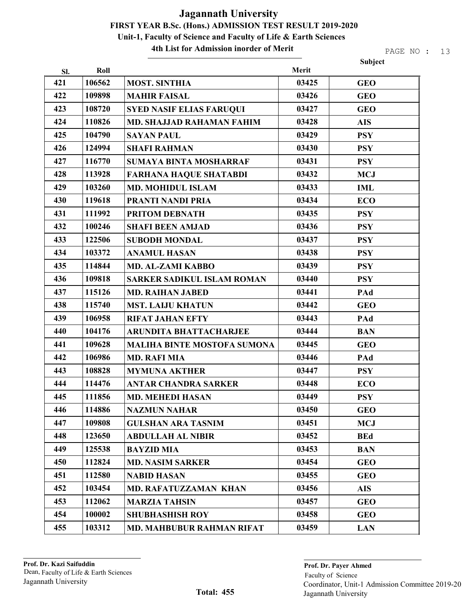#### 4th List for Admission inorder of Merit

|     |        |                                    |       | Subject    |
|-----|--------|------------------------------------|-------|------------|
| Sl. | Roll   |                                    | Merit |            |
| 421 | 106562 | <b>MOST. SINTHIA</b>               | 03425 | <b>GEO</b> |
| 422 | 109898 | <b>MAHIR FAISAL</b>                | 03426 | <b>GEO</b> |
| 423 | 108720 | <b>SYED NASIF ELIAS FARUQUI</b>    | 03427 | <b>GEO</b> |
| 424 | 110826 | <b>MD. SHAJJAD RAHAMAN FAHIM</b>   | 03428 | <b>AIS</b> |
| 425 | 104790 | <b>SAYAN PAUL</b>                  | 03429 | <b>PSY</b> |
| 426 | 124994 | <b>SHAFI RAHMAN</b>                | 03430 | <b>PSY</b> |
| 427 | 116770 | <b>SUMAYA BINTA MOSHARRAF</b>      | 03431 | <b>PSY</b> |
| 428 | 113928 | <b>FARHANA HAQUE SHATABDI</b>      | 03432 | <b>MCJ</b> |
| 429 | 103260 | <b>MD. MOHIDUL ISLAM</b>           | 03433 | <b>IML</b> |
| 430 | 119618 | PRANTI NANDI PRIA                  | 03434 | <b>ECO</b> |
| 431 | 111992 | PRITOM DEBNATH                     | 03435 | <b>PSY</b> |
| 432 | 100246 | <b>SHAFI BEEN AMJAD</b>            | 03436 | <b>PSY</b> |
| 433 | 122506 | <b>SUBODH MONDAL</b>               | 03437 | <b>PSY</b> |
| 434 | 103372 | <b>ANAMUL HASAN</b>                | 03438 | <b>PSY</b> |
| 435 | 114844 | MD. AL-ZAMI KABBO                  | 03439 | <b>PSY</b> |
| 436 | 109818 | <b>SARKER SADIKUL ISLAM ROMAN</b>  | 03440 | <b>PSY</b> |
| 437 | 115126 | <b>MD. RAIHAN JABED</b>            | 03441 | PAd        |
| 438 | 115740 | <b>MST. LAIJU KHATUN</b>           | 03442 | <b>GEO</b> |
| 439 | 106958 | <b>RIFAT JAHAN EFTY</b>            | 03443 | PAd        |
| 440 | 104176 | <b>ARUNDITA BHATTACHARJEE</b>      | 03444 | <b>BAN</b> |
| 441 | 109628 | <b>MALIHA BINTE MOSTOFA SUMONA</b> | 03445 | <b>GEO</b> |
| 442 | 106986 | <b>MD. RAFI MIA</b>                | 03446 | PAd        |
| 443 | 108828 | <b>MYMUNA AKTHER</b>               | 03447 | <b>PSY</b> |
| 444 | 114476 | <b>ANTAR CHANDRA SARKER</b>        | 03448 | <b>ECO</b> |
| 445 | 111856 | <b>MD. MEHEDI HASAN</b>            | 03449 | <b>PSY</b> |
| 446 | 114886 | <b>NAZMUN NAHAR</b>                | 03450 | <b>GEO</b> |
| 447 | 109808 | <b>GULSHAN ARA TASNIM</b>          | 03451 | <b>MCJ</b> |
| 448 | 123650 | <b>ABDULLAH AL NIBIR</b>           | 03452 | <b>BEd</b> |
| 449 | 125538 | <b>BAYZID MIA</b>                  | 03453 | <b>BAN</b> |
| 450 | 112824 | <b>MD. NASIM SARKER</b>            | 03454 | <b>GEO</b> |
| 451 | 112580 | <b>NABID HASAN</b>                 | 03455 | <b>GEO</b> |
| 452 | 103454 | <b>MD. RAFATUZZAMAN KHAN</b>       | 03456 | <b>AIS</b> |
| 453 | 112062 | <b>MARZIA TAHSIN</b>               | 03457 | <b>GEO</b> |
| 454 | 100002 | <b>SHUBHASHISH ROY</b>             | 03458 | <b>GEO</b> |
| 455 | 103312 | MD. MAHBUBUR RAHMAN RIFAT          | 03459 | <b>LAN</b> |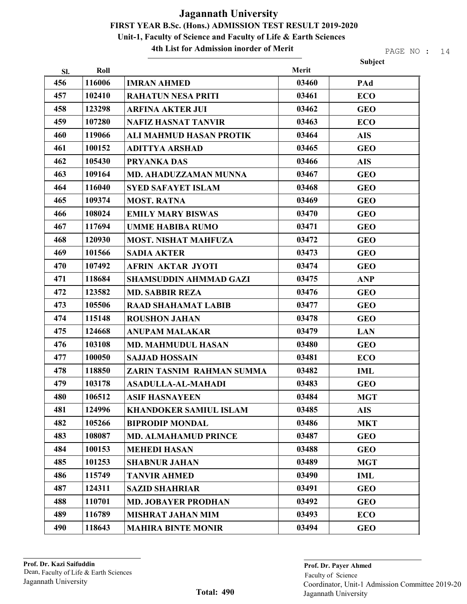#### 4th List for Admission inorder of Merit

|     |        |                               |       | Subject    |
|-----|--------|-------------------------------|-------|------------|
| Sl. | Roll   |                               | Merit |            |
| 456 | 116006 | <b>IMRAN AHMED</b>            | 03460 | PAd        |
| 457 | 102410 | <b>RAHATUN NESA PRITI</b>     | 03461 | <b>ECO</b> |
| 458 | 123298 | <b>ARFINA AKTER JUI</b>       | 03462 | <b>GEO</b> |
| 459 | 107280 | <b>NAFIZ HASNAT TANVIR</b>    | 03463 | <b>ECO</b> |
| 460 | 119066 | ALI MAHMUD HASAN PROTIK       | 03464 | <b>AIS</b> |
| 461 | 100152 | <b>ADITTYA ARSHAD</b>         | 03465 | <b>GEO</b> |
| 462 | 105430 | <b>PRYANKA DAS</b>            | 03466 | <b>AIS</b> |
| 463 | 109164 | <b>MD. AHADUZZAMAN MUNNA</b>  | 03467 | <b>GEO</b> |
| 464 | 116040 | <b>SYED SAFAYET ISLAM</b>     | 03468 | <b>GEO</b> |
| 465 | 109374 | <b>MOST. RATNA</b>            | 03469 | <b>GEO</b> |
| 466 | 108024 | <b>EMILY MARY BISWAS</b>      | 03470 | <b>GEO</b> |
| 467 | 117694 | <b>UMME HABIBA RUMO</b>       | 03471 | <b>GEO</b> |
| 468 | 120930 | <b>MOST. NISHAT MAHFUZA</b>   | 03472 | <b>GEO</b> |
| 469 | 101566 | <b>SADIA AKTER</b>            | 03473 | <b>GEO</b> |
| 470 | 107492 | <b>AFRIN AKTAR JYOTI</b>      | 03474 | <b>GEO</b> |
| 471 | 118684 | <b>SHAMSUDDIN AHMMAD GAZI</b> | 03475 | <b>ANP</b> |
| 472 | 123582 | <b>MD. SABBIR REZA</b>        | 03476 | <b>GEO</b> |
| 473 | 105506 | <b>RAAD SHAHAMAT LABIB</b>    | 03477 | <b>GEO</b> |
| 474 | 115148 | <b>ROUSHON JAHAN</b>          | 03478 | <b>GEO</b> |
| 475 | 124668 | <b>ANUPAM MALAKAR</b>         | 03479 | <b>LAN</b> |
| 476 | 103108 | <b>MD. MAHMUDUL HASAN</b>     | 03480 | <b>GEO</b> |
| 477 | 100050 | <b>SAJJAD HOSSAIN</b>         | 03481 | <b>ECO</b> |
| 478 | 118850 | ZARIN TASNIM RAHMAN SUMMA     | 03482 | <b>IML</b> |
| 479 | 103178 | <b>ASADULLA-AL-MAHADI</b>     | 03483 | <b>GEO</b> |
| 480 | 106512 | ASIF HASNAYEEN                | 03484 | <b>MGT</b> |
| 481 | 124996 | <b>KHANDOKER SAMIUL ISLAM</b> | 03485 | <b>AIS</b> |
| 482 | 105266 | <b>BIPRODIP MONDAL</b>        | 03486 | <b>MKT</b> |
| 483 | 108087 | <b>MD. ALMAHAMUD PRINCE</b>   | 03487 | <b>GEO</b> |
| 484 | 100153 | <b>MEHEDI HASAN</b>           | 03488 | <b>GEO</b> |
| 485 | 101253 | <b>SHABNUR JAHAN</b>          | 03489 | <b>MGT</b> |
| 486 | 115749 | <b>TANVIR AHMED</b>           | 03490 | <b>IML</b> |
| 487 | 124311 | <b>SAZID SHAHRIAR</b>         | 03491 | <b>GEO</b> |
| 488 | 110701 | <b>MD. JOBAYER PRODHAN</b>    | 03492 | <b>GEO</b> |
| 489 | 116789 | <b>MISHRAT JAHAN MIM</b>      | 03493 | <b>ECO</b> |
| 490 | 118643 | <b>MAHIRA BINTE MONIR</b>     | 03494 | <b>GEO</b> |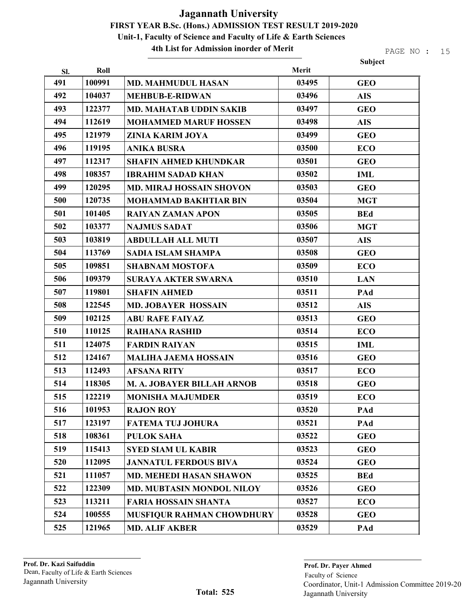#### 4th List for Admission inorder of Merit

| Roll<br>Sl.<br>491<br>100991<br><b>MD. MAHMUDUL HASAN</b><br>492<br>104037<br><b>MEHBUB-E-RIDWAN</b><br>493<br>122377<br><b>MD. MAHATAB UDDIN SAKIB</b><br>494<br>112619<br><b>MOHAMMED MARUF HOSSEN</b><br>495<br>121979<br><b>ZINIA KARIM JOYA</b><br>496<br>119195<br><b>ANIKA BUSRA</b><br>497<br>112317<br><b>SHAFIN AHMED KHUNDKAR</b><br>498<br>108357<br><b>IBRAHIM SADAD KHAN</b><br>499<br>120295<br><b>MD. MIRAJ HOSSAIN SHOVON</b><br>500<br>120735<br><b>MOHAMMAD BAKHTIAR BIN</b><br>501<br>101405<br><b>RAIYAN ZAMAN APON</b> |       | Subject    |
|----------------------------------------------------------------------------------------------------------------------------------------------------------------------------------------------------------------------------------------------------------------------------------------------------------------------------------------------------------------------------------------------------------------------------------------------------------------------------------------------------------------------------------------------|-------|------------|
|                                                                                                                                                                                                                                                                                                                                                                                                                                                                                                                                              | Merit |            |
|                                                                                                                                                                                                                                                                                                                                                                                                                                                                                                                                              | 03495 | <b>GEO</b> |
|                                                                                                                                                                                                                                                                                                                                                                                                                                                                                                                                              | 03496 | <b>AIS</b> |
|                                                                                                                                                                                                                                                                                                                                                                                                                                                                                                                                              | 03497 | <b>GEO</b> |
|                                                                                                                                                                                                                                                                                                                                                                                                                                                                                                                                              | 03498 | <b>AIS</b> |
|                                                                                                                                                                                                                                                                                                                                                                                                                                                                                                                                              | 03499 | <b>GEO</b> |
|                                                                                                                                                                                                                                                                                                                                                                                                                                                                                                                                              | 03500 | <b>ECO</b> |
|                                                                                                                                                                                                                                                                                                                                                                                                                                                                                                                                              | 03501 | <b>GEO</b> |
|                                                                                                                                                                                                                                                                                                                                                                                                                                                                                                                                              | 03502 | <b>IML</b> |
|                                                                                                                                                                                                                                                                                                                                                                                                                                                                                                                                              | 03503 | <b>GEO</b> |
|                                                                                                                                                                                                                                                                                                                                                                                                                                                                                                                                              | 03504 | <b>MGT</b> |
|                                                                                                                                                                                                                                                                                                                                                                                                                                                                                                                                              | 03505 | <b>BEd</b> |
| 502<br>103377<br><b>NAJMUS SADAT</b>                                                                                                                                                                                                                                                                                                                                                                                                                                                                                                         | 03506 | <b>MGT</b> |
| 503<br>103819<br><b>ABDULLAH ALL MUTI</b>                                                                                                                                                                                                                                                                                                                                                                                                                                                                                                    | 03507 | <b>AIS</b> |
| 504<br>113769<br><b>SADIA ISLAM SHAMPA</b>                                                                                                                                                                                                                                                                                                                                                                                                                                                                                                   | 03508 | <b>GEO</b> |
| 505<br>109851<br><b>SHABNAM MOSTOFA</b>                                                                                                                                                                                                                                                                                                                                                                                                                                                                                                      | 03509 | <b>ECO</b> |
| 506<br>109379<br><b>SURAYA AKTER SWARNA</b>                                                                                                                                                                                                                                                                                                                                                                                                                                                                                                  | 03510 | <b>LAN</b> |
| 507<br>119801<br><b>SHAFIN AHMED</b>                                                                                                                                                                                                                                                                                                                                                                                                                                                                                                         | 03511 | PAd        |
| 508<br>122545<br><b>MD. JOBAYER HOSSAIN</b>                                                                                                                                                                                                                                                                                                                                                                                                                                                                                                  | 03512 | <b>AIS</b> |
| 509<br>102125<br><b>ABU RAFE FAIYAZ</b>                                                                                                                                                                                                                                                                                                                                                                                                                                                                                                      | 03513 | <b>GEO</b> |
| 510<br>110125<br><b>RAIHANA RASHID</b>                                                                                                                                                                                                                                                                                                                                                                                                                                                                                                       | 03514 | <b>ECO</b> |
| 511<br>124075<br><b>FARDIN RAIYAN</b>                                                                                                                                                                                                                                                                                                                                                                                                                                                                                                        | 03515 | <b>IML</b> |
| 512<br>124167<br><b>MALIHA JAEMA HOSSAIN</b>                                                                                                                                                                                                                                                                                                                                                                                                                                                                                                 | 03516 | <b>GEO</b> |
| 513<br>112493<br><b>AFSANA RITY</b>                                                                                                                                                                                                                                                                                                                                                                                                                                                                                                          | 03517 | <b>ECO</b> |
| 514<br>118305<br>M. A. JOBAYER BILLAH ARNOB                                                                                                                                                                                                                                                                                                                                                                                                                                                                                                  | 03518 | <b>GEO</b> |
| 515<br>122219<br><b>MONISHA MAJUMDER</b>                                                                                                                                                                                                                                                                                                                                                                                                                                                                                                     | 03519 | <b>ECO</b> |
| 516<br>101953<br><b>RAJON ROY</b>                                                                                                                                                                                                                                                                                                                                                                                                                                                                                                            | 03520 | PAd        |
| 517<br>123197<br><b>FATEMA TUJ JOHURA</b>                                                                                                                                                                                                                                                                                                                                                                                                                                                                                                    | 03521 | PAd        |
| 518<br>108361<br><b>PULOK SAHA</b>                                                                                                                                                                                                                                                                                                                                                                                                                                                                                                           | 03522 | <b>GEO</b> |
| 519<br>115413<br><b>SYED SIAM UL KABIR</b>                                                                                                                                                                                                                                                                                                                                                                                                                                                                                                   | 03523 | <b>GEO</b> |
| 520<br>112095<br><b>JANNATUL FERDOUS BIVA</b>                                                                                                                                                                                                                                                                                                                                                                                                                                                                                                | 03524 | <b>GEO</b> |
| 521<br>111057<br><b>MD. MEHEDI HASAN SHAWON</b>                                                                                                                                                                                                                                                                                                                                                                                                                                                                                              | 03525 | <b>BEd</b> |
| 522<br>122309<br><b>MD. MUBTASIN MONDOL NILOY</b>                                                                                                                                                                                                                                                                                                                                                                                                                                                                                            | 03526 | <b>GEO</b> |
| 523<br>113211<br><b>FARIA HOSSAIN SHANTA</b>                                                                                                                                                                                                                                                                                                                                                                                                                                                                                                 | 03527 | <b>ECO</b> |
| 524<br>100555<br><b>MUSFIQUR RAHMAN CHOWDHURY</b>                                                                                                                                                                                                                                                                                                                                                                                                                                                                                            |       |            |
| 525<br>121965<br><b>MD. ALIF AKBER</b>                                                                                                                                                                                                                                                                                                                                                                                                                                                                                                       | 03528 | <b>GEO</b> |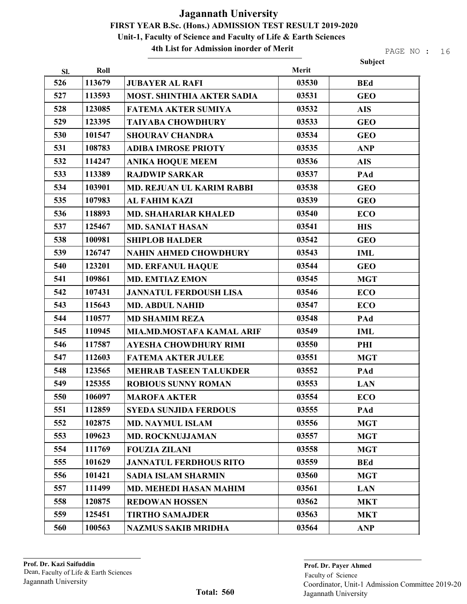4th List for Admission inorder of Merit

|     |        |                                   |       | <b>Subject</b> |
|-----|--------|-----------------------------------|-------|----------------|
| Sl. | Roll   |                                   | Merit |                |
| 526 | 113679 | <b>JUBAYER AL RAFI</b>            | 03530 | <b>BEd</b>     |
| 527 | 113593 | <b>MOST. SHINTHIA AKTER SADIA</b> | 03531 | <b>GEO</b>     |
| 528 | 123085 | <b>FATEMA AKTER SUMIYA</b>        | 03532 | <b>AIS</b>     |
| 529 | 123395 | <b>TAIYABA CHOWDHURY</b>          | 03533 | <b>GEO</b>     |
| 530 | 101547 | <b>SHOURAV CHANDRA</b>            | 03534 | <b>GEO</b>     |
| 531 | 108783 | <b>ADIBA IMROSE PRIOTY</b>        | 03535 | <b>ANP</b>     |
| 532 | 114247 | <b>ANIKA HOQUE MEEM</b>           | 03536 | <b>AIS</b>     |
| 533 | 113389 | <b>RAJDWIP SARKAR</b>             | 03537 | PAd            |
| 534 | 103901 | <b>MD. REJUAN UL KARIM RABBI</b>  | 03538 | <b>GEO</b>     |
| 535 | 107983 | <b>AL FAHIM KAZI</b>              | 03539 | <b>GEO</b>     |
| 536 | 118893 | <b>MD. SHAHARIAR KHALED</b>       | 03540 | <b>ECO</b>     |
| 537 | 125467 | <b>MD. SANIAT HASAN</b>           | 03541 | <b>HIS</b>     |
| 538 | 100981 | <b>SHIPLOB HALDER</b>             | 03542 | <b>GEO</b>     |
| 539 | 126747 | <b>NAHIN AHMED CHOWDHURY</b>      | 03543 | <b>IML</b>     |
| 540 | 123201 | <b>MD. ERFANUL HAQUE</b>          | 03544 | <b>GEO</b>     |
| 541 | 109861 | <b>MD. EMTIAZ EMON</b>            | 03545 | <b>MGT</b>     |
| 542 | 107431 | <b>JANNATUL FERDOUSH LISA</b>     | 03546 | <b>ECO</b>     |
| 543 | 115643 | <b>MD. ABDUL NAHID</b>            | 03547 | <b>ECO</b>     |
| 544 | 110577 | <b>MD SHAMIM REZA</b>             | 03548 | PAd            |
| 545 | 110945 | MIA.MD.MOSTAFA KAMAL ARIF         | 03549 | <b>IML</b>     |
| 546 | 117587 | <b>AYESHA CHOWDHURY RIMI</b>      | 03550 | PHI            |
| 547 | 112603 | <b>FATEMA AKTER JULEE</b>         | 03551 | <b>MGT</b>     |
| 548 | 123565 | <b>MEHRAB TASEEN TALUKDER</b>     | 03552 | PAd            |
| 549 | 125355 | <b>ROBIOUS SUNNY ROMAN</b>        | 03553 | <b>LAN</b>     |
| 550 | 106097 | <b>MAROFA AKTER</b>               | 03554 | <b>ECO</b>     |
| 551 | 112859 | <b>SYEDA SUNJIDA FERDOUS</b>      | 03555 | PAd            |
| 552 | 102875 | <b>MD. NAYMUL ISLAM</b>           | 03556 | <b>MGT</b>     |
| 553 | 109623 | <b>MD. ROCKNUJJAMAN</b>           | 03557 | <b>MGT</b>     |
| 554 | 111769 | <b>FOUZIA ZILANI</b>              | 03558 | <b>MGT</b>     |
| 555 | 101629 | <b>JANNATUL FERDHOUS RITO</b>     | 03559 | <b>BEd</b>     |
| 556 | 101421 | <b>SADIA ISLAM SHARMIN</b>        | 03560 | <b>MGT</b>     |
| 557 | 111499 | <b>MD. MEHEDI HASAN MAHIM</b>     | 03561 | <b>LAN</b>     |
| 558 | 120875 | <b>REDOWAN HOSSEN</b>             | 03562 | <b>MKT</b>     |
| 559 | 125451 | <b>TIRTHO SAMAJDER</b>            | 03563 | <b>MKT</b>     |
| 560 | 100563 | <b>NAZMUS SAKIB MRIDHA</b>        | 03564 | <b>ANP</b>     |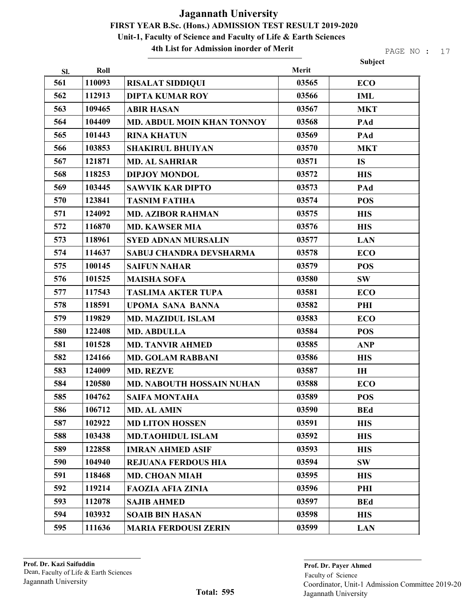4th List for Admission inorder of Merit

|     |        |                                   |       | Subject    |
|-----|--------|-----------------------------------|-------|------------|
| Sl. | Roll   |                                   | Merit |            |
| 561 | 110093 | <b>RISALAT SIDDIQUI</b>           | 03565 | <b>ECO</b> |
| 562 | 112913 | <b>DIPTA KUMAR ROY</b>            | 03566 | <b>IML</b> |
| 563 | 109465 | <b>ABIR HASAN</b>                 | 03567 | <b>MKT</b> |
| 564 | 104409 | <b>MD. ABDUL MOIN KHAN TONNOY</b> | 03568 | PAd        |
| 565 | 101443 | <b>RINA KHATUN</b>                | 03569 | PAd        |
| 566 | 103853 | <b>SHAKIRUL BHUIYAN</b>           | 03570 | <b>MKT</b> |
| 567 | 121871 | <b>MD. AL SAHRIAR</b>             | 03571 | <b>IS</b>  |
| 568 | 118253 | <b>DIPJOY MONDOL</b>              | 03572 | <b>HIS</b> |
| 569 | 103445 | <b>SAWVIK KAR DIPTO</b>           | 03573 | PAd        |
| 570 | 123841 | <b>TASNIM FATIHA</b>              | 03574 | <b>POS</b> |
| 571 | 124092 | <b>MD. AZIBOR RAHMAN</b>          | 03575 | <b>HIS</b> |
| 572 | 116870 | <b>MD. KAWSER MIA</b>             | 03576 | <b>HIS</b> |
| 573 | 118961 | <b>SYED ADNAN MURSALIN</b>        | 03577 | <b>LAN</b> |
| 574 | 114637 | SABUJ CHANDRA DEVSHARMA           | 03578 | <b>ECO</b> |
| 575 | 100145 | <b>SAIFUN NAHAR</b>               | 03579 | <b>POS</b> |
| 576 | 101525 | <b>MAISHA SOFA</b>                | 03580 | <b>SW</b>  |
| 577 | 117543 | <b>TASLIMA AKTER TUPA</b>         | 03581 | <b>ECO</b> |
| 578 | 118591 | <b>UPOMA SANA BANNA</b>           | 03582 | PHI        |
| 579 | 119829 | <b>MD. MAZIDUL ISLAM</b>          | 03583 | <b>ECO</b> |
| 580 | 122408 | <b>MD. ABDULLA</b>                | 03584 | <b>POS</b> |
| 581 | 101528 | <b>MD. TANVIR AHMED</b>           | 03585 | <b>ANP</b> |
| 582 | 124166 | <b>MD. GOLAM RABBANI</b>          | 03586 | <b>HIS</b> |
| 583 | 124009 | <b>MD. REZVE</b>                  | 03587 | <b>IH</b>  |
| 584 | 120580 | <b>MD. NABOUTH HOSSAIN NUHAN</b>  | 03588 | <b>ECO</b> |
| 585 | 104762 | <b>SAIFA MONTAHA</b>              | 03589 | <b>POS</b> |
| 586 | 106712 | <b>MD. AL AMIN</b>                | 03590 | <b>BEd</b> |
| 587 | 102922 | <b>MD LITON HOSSEN</b>            | 03591 | <b>HIS</b> |
| 588 | 103438 | <b>MD.TAOHIDUL ISLAM</b>          | 03592 | <b>HIS</b> |
| 589 | 122858 | <b>IMRAN AHMED ASIF</b>           | 03593 | <b>HIS</b> |
| 590 | 104940 | <b>REJUANA FERDOUS HIA</b>        | 03594 | <b>SW</b>  |
| 591 | 118468 | <b>MD. CHOAN MIAH</b>             | 03595 | <b>HIS</b> |
| 592 | 119214 | <b>FAOZIA AFIA ZINIA</b>          | 03596 | PHI        |
| 593 | 112078 | <b>SAJIB AHMED</b>                | 03597 | <b>BEd</b> |
| 594 | 103932 | <b>SOAIB BIN HASAN</b>            | 03598 | <b>HIS</b> |
| 595 | 111636 | <b>MARIA FERDOUSI ZERIN</b>       | 03599 | <b>LAN</b> |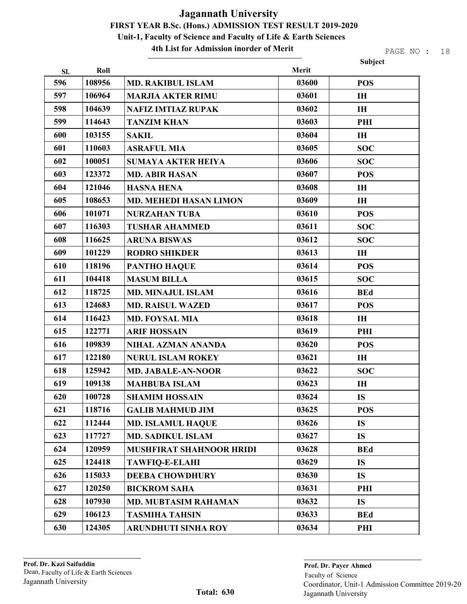4th List for Admission inorder of Merit

|     |        |                                 |       | Subject    |
|-----|--------|---------------------------------|-------|------------|
| SI. | Roll   |                                 | Merit |            |
| 596 | 108956 | <b>MD. RAKIBUL ISLAM</b>        | 03600 | <b>POS</b> |
| 597 | 106964 | <b>MARJIA AKTER RIMU</b>        | 03601 | IH         |
| 598 | 104639 | <b>NAFIZ IMTIAZ RUPAK</b>       | 03602 | IH         |
| 599 | 114643 | <b>TANZIM KHAN</b>              | 03603 | PHI        |
| 600 | 103155 | <b>SAKIL</b>                    | 03604 | IH         |
| 601 | 110603 | <b>ASRAFUL MIA</b>              | 03605 | <b>SOC</b> |
| 602 | 100051 | <b>SUMAYA AKTER HEIYA</b>       | 03606 | <b>SOC</b> |
| 603 | 123372 | <b>MD. ABIR HASAN</b>           | 03607 | <b>POS</b> |
| 604 | 121046 | <b>HASNA HENA</b>               | 03608 | IH         |
| 605 | 108653 | <b>MD. MEHEDI HASAN LIMON</b>   | 03609 | IH         |
| 606 | 101071 | <b>NURZAHAN TUBA</b>            | 03610 | <b>POS</b> |
| 607 | 116303 | <b>TUSHAR AHAMMED</b>           | 03611 | <b>SOC</b> |
| 608 | 116625 | <b>ARUNA BISWAS</b>             | 03612 | <b>SOC</b> |
| 609 | 101229 | <b>RODRO SHIKDER</b>            | 03613 | <b>IH</b>  |
| 610 | 118196 | <b>PANTHO HAQUE</b>             | 03614 | <b>POS</b> |
| 611 | 104418 | <b>MASUM BILLA</b>              | 03615 | <b>SOC</b> |
| 612 | 118725 | <b>MD. MINAJUL ISLAM</b>        | 03616 | <b>BEd</b> |
| 613 | 124683 | <b>MD. RAISUL WAZED</b>         | 03617 | <b>POS</b> |
| 614 | 116423 | <b>MD. FOYSAL MIA</b>           | 03618 | <b>IH</b>  |
| 615 | 122771 | <b>ARIF HOSSAIN</b>             | 03619 | PHI        |
| 616 | 109839 | NIHAL AZMAN ANANDA              | 03620 | <b>POS</b> |
| 617 | 122180 | <b>NURUL ISLAM ROKEY</b>        | 03621 | <b>IH</b>  |
| 618 | 125942 | <b>MD. JABALE-AN-NOOR</b>       | 03622 | <b>SOC</b> |
| 619 | 109138 | <b>MAHBUBA ISLAM</b>            | 03623 | IH         |
| 620 | 100728 | <b>SHAMIM HOSSAIN</b>           | 03624 | <b>IS</b>  |
| 621 | 118716 | <b>GALIB MAHMUD JIM</b>         | 03625 | <b>POS</b> |
| 622 | 112444 | <b>MD. ISLAMUL HAQUE</b>        | 03626 | <b>IS</b>  |
| 623 | 117727 | <b>MD. SADIKUL ISLAM</b>        | 03627 | <b>IS</b>  |
| 624 | 120959 | <b>MUSHFIRAT SHAHNOOR HRIDI</b> | 03628 | <b>BEd</b> |
| 625 | 124418 | <b>TAWFIQ-E-ELAHI</b>           | 03629 | <b>IS</b>  |
| 626 | 115033 | <b>DEEBA CHOWDHURY</b>          | 03630 | <b>IS</b>  |
| 627 | 120250 | <b>BICKROM SAHA</b>             | 03631 | PHI        |
| 628 | 107930 | <b>MD. MUBTASIM RAHAMAN</b>     | 03632 | <b>IS</b>  |
| 629 | 106123 | <b>TASMIHA TAHSIN</b>           | 03633 | <b>BEd</b> |
| 630 | 124305 | <b>ARUNDHUTI SINHA ROY</b>      | 03634 | PHI        |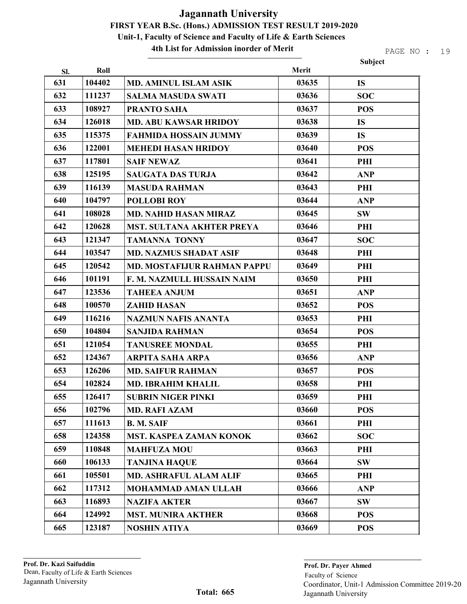4th List for Admission inorder of Merit

|     |        |                                    |       | Subject    |
|-----|--------|------------------------------------|-------|------------|
| Sl. | Roll   |                                    | Merit |            |
| 631 | 104402 | <b>MD. AMINUL ISLAM ASIK</b>       | 03635 | <b>IS</b>  |
| 632 | 111237 | <b>SALMA MASUDA SWATI</b>          | 03636 | <b>SOC</b> |
| 633 | 108927 | <b>PRANTO SAHA</b>                 | 03637 | <b>POS</b> |
| 634 | 126018 | <b>MD. ABU KAWSAR HRIDOY</b>       | 03638 | <b>IS</b>  |
| 635 | 115375 | <b>FAHMIDA HOSSAIN JUMMY</b>       | 03639 | <b>IS</b>  |
| 636 | 122001 | <b>MEHEDI HASAN HRIDOY</b>         | 03640 | <b>POS</b> |
| 637 | 117801 | <b>SAIF NEWAZ</b>                  | 03641 | PHI        |
| 638 | 125195 | <b>SAUGATA DAS TURJA</b>           | 03642 | <b>ANP</b> |
| 639 | 116139 | <b>MASUDA RAHMAN</b>               | 03643 | PHI        |
| 640 | 104797 | <b>POLLOBI ROY</b>                 | 03644 | <b>ANP</b> |
| 641 | 108028 | <b>MD. NAHID HASAN MIRAZ</b>       | 03645 | <b>SW</b>  |
| 642 | 120628 | <b>MST. SULTANA AKHTER PREYA</b>   | 03646 | PHI        |
| 643 | 121347 | <b>TAMANNA TONNY</b>               | 03647 | <b>SOC</b> |
| 644 | 103547 | <b>MD. NAZMUS SHADAT ASIF</b>      | 03648 | PHI        |
| 645 | 120542 | <b>MD. MOSTAFIJUR RAHMAN PAPPU</b> | 03649 | PHI        |
| 646 | 101191 | F. M. NAZMULL HUSSAIN NAIM         | 03650 | PHI        |
| 647 | 123536 | <b>TAHEEA ANJUM</b>                | 03651 | <b>ANP</b> |
| 648 | 100570 | <b>ZAHID HASAN</b>                 | 03652 | <b>POS</b> |
| 649 | 116216 | <b>NAZMUN NAFIS ANANTA</b>         | 03653 | PHI        |
| 650 | 104804 | <b>SANJIDA RAHMAN</b>              | 03654 | <b>POS</b> |
| 651 | 121054 | <b>TANUSREE MONDAL</b>             | 03655 | PHI        |
| 652 | 124367 | <b>ARPITA SAHA ARPA</b>            | 03656 | <b>ANP</b> |
| 653 | 126206 | <b>MD. SAIFUR RAHMAN</b>           | 03657 | <b>POS</b> |
| 654 | 102824 | <b>MD. IBRAHIM KHALIL</b>          | 03658 | PHI        |
| 655 | 126417 | <b>SUBRIN NIGER PINKI</b>          | 03659 | PHI        |
| 656 | 102796 | <b>MD. RAFI AZAM</b>               | 03660 | <b>POS</b> |
| 657 | 111613 | <b>B. M. SAIF</b>                  | 03661 | PHI        |
| 658 | 124358 | <b>MST. KASPEA ZAMAN KONOK</b>     | 03662 | <b>SOC</b> |
| 659 | 110848 | <b>MAHFUZA MOU</b>                 | 03663 | PHI        |
| 660 | 106133 | <b>TANJINA HAQUE</b>               | 03664 | <b>SW</b>  |
| 661 | 105501 | <b>MD. ASHRAFUL ALAM ALIF</b>      | 03665 | PHI        |
| 662 | 117312 | <b>MOHAMMAD AMAN ULLAH</b>         | 03666 | <b>ANP</b> |
| 663 | 116893 | <b>NAZIFA AKTER</b>                | 03667 | <b>SW</b>  |
| 664 | 124992 | <b>MST. MUNIRA AKTHER</b>          | 03668 | <b>POS</b> |
| 665 | 123187 | <b>NOSHIN ATIYA</b>                | 03669 | <b>POS</b> |